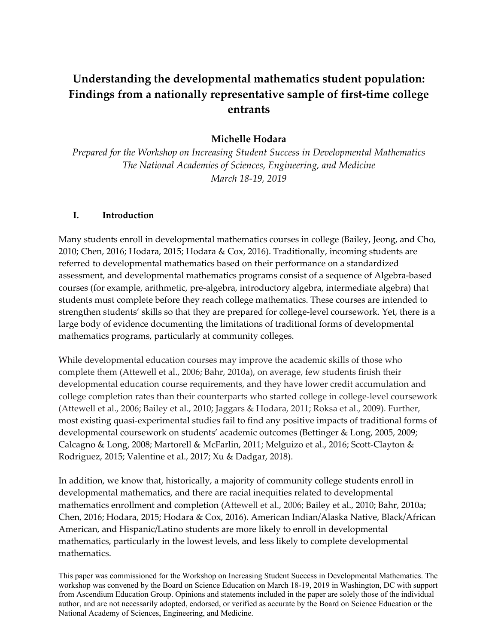# **Understanding the developmental mathematics student population: Findings from a nationally representative sample of first‐time college entrants**

## **Michelle Hodara**

*Prepared for the Workshop on Increasing Student Success in Developmental Mathematics The National Academies of Sciences, Engineering, and Medicine March 18‐19, 2019*

#### **I. Introduction**

Many students enroll in developmental mathematics courses in college (Bailey, Jeong, and Cho, 2010; Chen, 2016; Hodara, 2015; Hodara & Cox, 2016). Traditionally, incoming students are referred to developmental mathematics based on their performance on a standardized assessment, and developmental mathematics programs consist of a sequence of Algebra‐based courses (for example, arithmetic, pre‐algebra, introductory algebra, intermediate algebra) that students must complete before they reach college mathematics. These courses are intended to strengthen students' skills so that they are prepared for college-level coursework. Yet, there is a large body of evidence documenting the limitations of traditional forms of developmental mathematics programs, particularly at community colleges.

While developmental education courses may improve the academic skills of those who complete them (Attewell et al., 2006; Bahr, 2010a), on average, few students finish their developmental education course requirements, and they have lower credit accumulation and college completion rates than their counterparts who started college in college‐level coursework (Attewell et al., 2006; Bailey et al., 2010; Jaggars & Hodara, 2011; Roksa et al., 2009). Further, most existing quasi‐experimental studies fail to find any positive impacts of traditional forms of developmental coursework on students' academic outcomes (Bettinger & Long, 2005, 2009; Calcagno & Long, 2008; Martorell & McFarlin, 2011; Melguizo et al., 2016; Scott‐Clayton & Rodriguez, 2015; Valentine et al., 2017; Xu & Dadgar, 2018).

In addition, we know that, historically, a majority of community college students enroll in developmental mathematics, and there are racial inequities related to developmental mathematics enrollment and completion (Attewell et al., 2006; Bailey et al., 2010; Bahr, 2010a; Chen, 2016; Hodara, 2015; Hodara & Cox, 2016). American Indian/Alaska Native, Black/African American, and Hispanic/Latino students are more likely to enroll in developmental mathematics, particularly in the lowest levels, and less likely to complete developmental mathematics.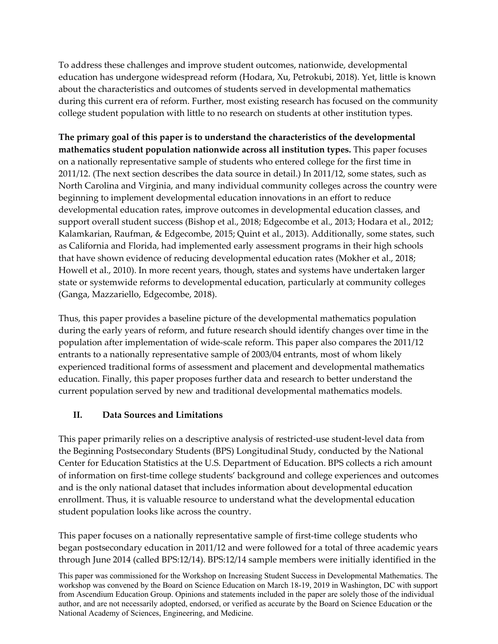To address these challenges and improve student outcomes, nationwide, developmental education has undergone widespread reform (Hodara, Xu, Petrokubi, 2018). Yet, little is known about the characteristics and outcomes of students served in developmental mathematics during this current era of reform. Further, most existing research has focused on the community college student population with little to no research on students at other institution types.

**The primary goal of this paper is to understand the characteristics of the developmental mathematics student population nationwide across all institution types.** This paper focuses on a nationally representative sample of students who entered college for the first time in 2011/12. (The next section describes the data source in detail.) In 2011/12, some states, such as North Carolina and Virginia, and many individual community colleges across the country were beginning to implement developmental education innovations in an effort to reduce developmental education rates, improve outcomes in developmental education classes, and support overall student success (Bishop et al., 2018; Edgecombe et al., 2013; Hodara et al., 2012; Kalamkarian, Raufman, & Edgecombe, 2015; Quint et al., 2013). Additionally, some states, such as California and Florida, had implemented early assessment programs in their high schools that have shown evidence of reducing developmental education rates (Mokher et al., 2018; Howell et al., 2010). In more recent years, though, states and systems have undertaken larger state or systemwide reforms to developmental education, particularly at community colleges (Ganga, Mazzariello, Edgecombe, 2018).

Thus, this paper provides a baseline picture of the developmental mathematics population during the early years of reform, and future research should identify changes over time in the population after implementation of wide‐scale reform. This paper also compares the 2011/12 entrants to a nationally representative sample of 2003/04 entrants, most of whom likely experienced traditional forms of assessment and placement and developmental mathematics education. Finally, this paper proposes further data and research to better understand the current population served by new and traditional developmental mathematics models.

### **II. Data Sources and Limitations**

This paper primarily relies on a descriptive analysis of restricted‐use student‐level data from the Beginning Postsecondary Students (BPS) Longitudinal Study, conducted by the National Center for Education Statistics at the U.S. Department of Education. BPS collects a rich amount of information on first‐time college students' background and college experiences and outcomes and is the only national dataset that includes information about developmental education enrollment. Thus, it is valuable resource to understand what the developmental education student population looks like across the country.

This paper focuses on a nationally representative sample of first-time college students who began postsecondary education in 2011/12 and were followed for a total of three academic years through June 2014 (called BPS:12/14). BPS:12/14 sample members were initially identified in the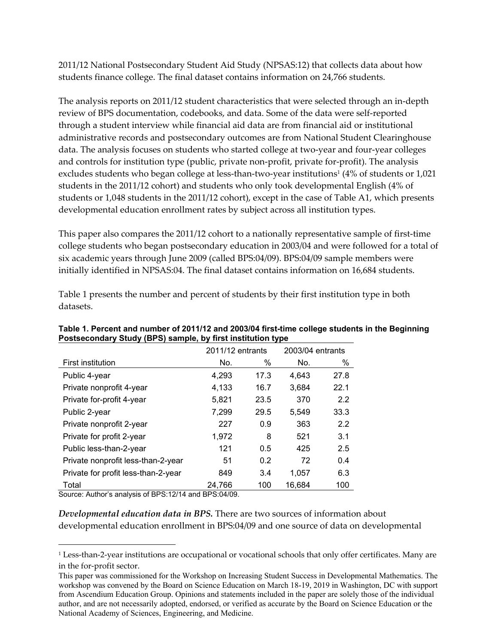2011/12 National Postsecondary Student Aid Study (NPSAS:12) that collects data about how students finance college. The final dataset contains information on 24,766 students.

The analysis reports on 2011/12 student characteristics that were selected through an in‐depth review of BPS documentation, codebooks, and data. Some of the data were self‐reported through a student interview while financial aid data are from financial aid or institutional administrative records and postsecondary outcomes are from National Student Clearinghouse data. The analysis focuses on students who started college at two‐year and four‐year colleges and controls for institution type (public, private non-profit, private for-profit). The analysis excludes students who began college at less-than-two-year institutions<sup>1</sup> (4% of students or 1,021) students in the 2011/12 cohort) and students who only took developmental English (4% of students or 1,048 students in the 2011/12 cohort), except in the case of Table A1, which presents developmental education enrollment rates by subject across all institution types.

This paper also compares the 2011/12 cohort to a nationally representative sample of first‐time college students who began postsecondary education in 2003/04 and were followed for a total of six academic years through June 2009 (called BPS:04/09). BPS:04/09 sample members were initially identified in NPSAS:04. The final dataset contains information on 16,684 students.

|                                     | 2011/12 entrants |      | 2003/04 entrants |      |
|-------------------------------------|------------------|------|------------------|------|
| First institution                   | No.              | %    | No.              | %    |
| Public 4-year                       | 4,293            | 17.3 | 4,643            | 27.8 |
| Private nonprofit 4-year            | 4,133            | 16.7 | 3,684            | 22.1 |
| Private for-profit 4-year           | 5,821            | 23.5 | 370              | 2.2  |
| Public 2-year                       | 7,299            | 29.5 | 5,549            | 33.3 |
| Private nonprofit 2-year            | 227              | 0.9  | 363              | 2.2  |
| Private for profit 2-year           | 1,972            | 8    | 521              | 3.1  |
| Public less-than-2-year             | 121              | 0.5  | 425              | 2.5  |
| Private nonprofit less-than-2-year  | 51               | 0.2  | 72               | 0.4  |
| Private for profit less-than-2-year | 849              | 3.4  | 1,057            | 6.3  |
| Total                               | 24,766           | 100  | 16.684           | 100  |

**Postsecondary Study (BPS) sample, by first institution type** 

Table 1 presents the number and percent of students by their first institution type in both datasets.

# **Table 1. Percent and number of 2011/12 and 2003/04 first-time college students in the Beginning**

Source: Author's analysis of BPS:12/14 and BPS:04/09.

*Developmental education data in BPS.* There are two sources of information about developmental education enrollment in BPS:04/09 and one source of data on developmental

<sup>1</sup> Less‐than‐2‐year institutions are occupational or vocational schools that only offer certificates. Many are in the for‐profit sector.

This paper was commissioned for the Workshop on Increasing Student Success in Developmental Mathematics. The workshop was convened by the Board on Science Education on March 18-19, 2019 in Washington, DC with support from Ascendium Education Group. Opinions and statements included in the paper are solely those of the individual author, and are not necessarily adopted, endorsed, or verified as accurate by the Board on Science Education or the National Academy of Sciences, Engineering, and Medicine.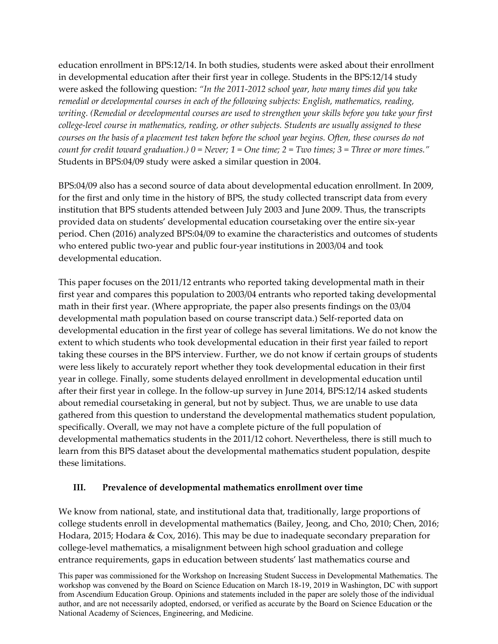education enrollment in BPS:12/14. In both studies, students were asked about their enrollment in developmental education after their first year in college. Students in the BPS:12/14 study were asked the following question: *"In the 2011‐2012 school year, how many times did you take remedial or developmental courses in each of the following subjects: English, mathematics, reading, writing. (Remedial or developmental courses are used to strengthen your skills before you take your first college‐level course in mathematics, reading, or other subjects. Students are usually assigned to these* courses on the basis of a placement test taken before the school year begins. Often, these courses do not count for credit toward graduation.)  $0 =$  Never;  $1 =$  One time;  $2 =$  Two times;  $3 =$  Three or more times." Students in BPS:04/09 study were asked a similar question in 2004.

BPS:04/09 also has a second source of data about developmental education enrollment. In 2009, for the first and only time in the history of BPS, the study collected transcript data from every institution that BPS students attended between July 2003 and June 2009. Thus, the transcripts provided data on students' developmental education coursetaking over the entire six‐year period. Chen (2016) analyzed BPS:04/09 to examine the characteristics and outcomes of students who entered public two-year and public four-year institutions in 2003/04 and took developmental education.

This paper focuses on the 2011/12 entrants who reported taking developmental math in their first year and compares this population to 2003/04 entrants who reported taking developmental math in their first year. (Where appropriate, the paper also presents findings on the 03/04 developmental math population based on course transcript data.) Self‐reported data on developmental education in the first year of college has several limitations. We do not know the extent to which students who took developmental education in their first year failed to report taking these courses in the BPS interview. Further, we do not know if certain groups of students were less likely to accurately report whether they took developmental education in their first year in college. Finally, some students delayed enrollment in developmental education until after their first year in college. In the follow‐up survey in June 2014, BPS:12/14 asked students about remedial coursetaking in general, but not by subject. Thus, we are unable to use data gathered from this question to understand the developmental mathematics student population, specifically. Overall, we may not have a complete picture of the full population of developmental mathematics students in the 2011/12 cohort. Nevertheless, there is still much to learn from this BPS dataset about the developmental mathematics student population, despite these limitations.

#### **III. Prevalence of developmental mathematics enrollment over time**

We know from national, state, and institutional data that, traditionally, large proportions of college students enroll in developmental mathematics (Bailey, Jeong, and Cho, 2010; Chen, 2016; Hodara, 2015; Hodara & Cox, 2016). This may be due to inadequate secondary preparation for college‐level mathematics, a misalignment between high school graduation and college entrance requirements, gaps in education between students' last mathematics course and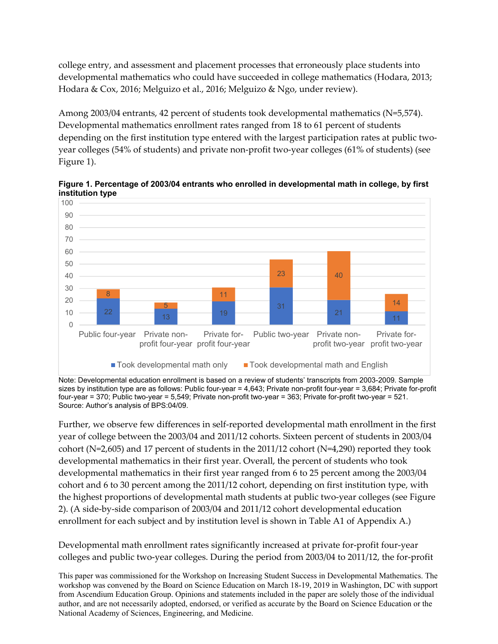college entry, and assessment and placement processes that erroneously place students into developmental mathematics who could have succeeded in college mathematics (Hodara, 2013; Hodara & Cox, 2016; Melguizo et al., 2016; Melguizo & Ngo, under review).

Among 2003/04 entrants, 42 percent of students took developmental mathematics (N=5,574). Developmental mathematics enrollment rates ranged from 18 to 61 percent of students depending on the first institution type entered with the largest participation rates at public twoyear colleges (54% of students) and private non‐profit two‐year colleges (61% of students) (see Figure 1).

**Figure 1. Percentage of 2003/04 entrants who enrolled in developmental math in college, by first institution type** 



Note: Developmental education enrollment is based on a review of students' transcripts from 2003-2009. Sample sizes by institution type are as follows: Public four-year = 4,643; Private non-profit four-year = 3,684; Private for-profit four-year = 370; Public two-year = 5,549; Private non-profit two-year = 363; Private for-profit two-year = 521. Source: Author's analysis of BPS:04/09.

Further, we observe few differences in self‐reported developmental math enrollment in the first year of college between the 2003/04 and 2011/12 cohorts. Sixteen percent of students in 2003/04 cohort ( $N=2,605$ ) and 17 percent of students in the 2011/12 cohort ( $N=4,290$ ) reported they took developmental mathematics in their first year. Overall, the percent of students who took developmental mathematics in their first year ranged from 6 to 25 percent among the 2003/04 cohort and 6 to 30 percent among the 2011/12 cohort, depending on first institution type, with the highest proportions of developmental math students at public two‐year colleges (see Figure 2). (A side‐by‐side comparison of 2003/04 and 2011/12 cohort developmental education enrollment for each subject and by institution level is shown in Table A1 of Appendix A.)

Developmental math enrollment rates significantly increased at private for‐profit four‐year colleges and public two‐year colleges. During the period from 2003/04 to 2011/12, the for‐profit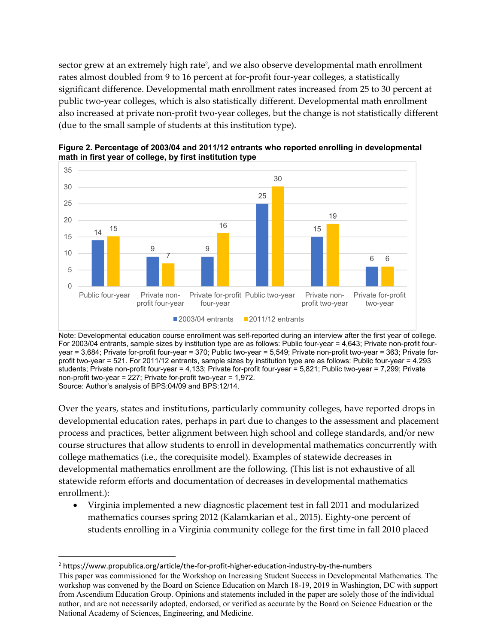sector grew at an extremely high rate<sup>2</sup>, and we also observe developmental math enrollment rates almost doubled from 9 to 16 percent at for-profit four-year colleges, a statistically significant difference. Developmental math enrollment rates increased from 25 to 30 percent at public two‐year colleges, which is also statistically different. Developmental math enrollment also increased at private non‐profit two‐year colleges, but the change is not statistically different (due to the small sample of students at this institution type).



**Figure 2. Percentage of 2003/04 and 2011/12 entrants who reported enrolling in developmental math in first year of college, by first institution type** 

Note: Developmental education course enrollment was self-reported during an interview after the first year of college. For 2003/04 entrants, sample sizes by institution type are as follows: Public four-year = 4,643; Private non-profit fouryear = 3,684; Private for-profit four-year = 370; Public two-year = 5,549; Private non-profit two-year = 363; Private forprofit two-year = 521. For 2011/12 entrants, sample sizes by institution type are as follows: Public four-year = 4,293 students; Private non-profit four-year = 4,133; Private for-profit four-year = 5,821; Public two-year = 7,299; Private non-profit two-year = 227; Private for-profit two-year = 1,972. Source: Author's analysis of BPS:04/09 and BPS:12/14.

Over the years, states and institutions, particularly community colleges, have reported drops in developmental education rates, perhaps in part due to changes to the assessment and placement process and practices, better alignment between high school and college standards, and/or new course structures that allow students to enroll in developmental mathematics concurrently with college mathematics (i.e., the corequisite model). Examples of statewide decreases in developmental mathematics enrollment are the following. (This list is not exhaustive of all statewide reform efforts and documentation of decreases in developmental mathematics enrollment.):

 Virginia implemented a new diagnostic placement test in fall 2011 and modularized mathematics courses spring 2012 (Kalamkarian et al., 2015). Eighty‐one percent of students enrolling in a Virginia community college for the first time in fall 2010 placed

This paper was commissioned for the Workshop on Increasing Student Success in Developmental Mathematics. The workshop was convened by the Board on Science Education on March 18-19, 2019 in Washington, DC with support from Ascendium Education Group. Opinions and statements included in the paper are solely those of the individual author, and are not necessarily adopted, endorsed, or verified as accurate by the Board on Science Education or the National Academy of Sciences, Engineering, and Medicine. 2 https://www.propublica.org/article/the‐for‐profit‐higher‐education‐industry‐by‐the‐numbers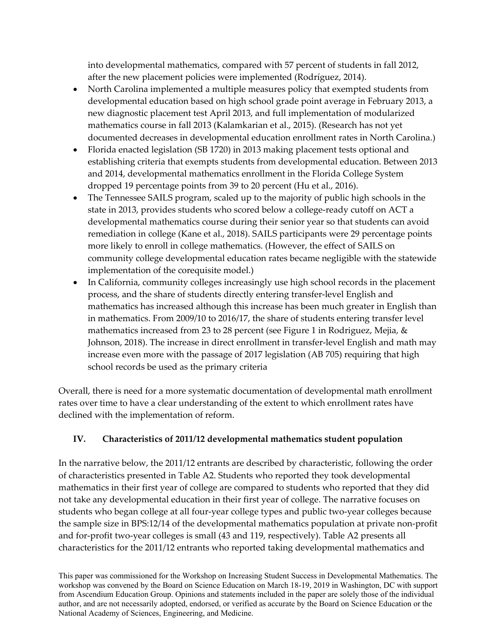into developmental mathematics, compared with 57 percent of students in fall 2012, after the new placement policies were implemented (Rodríguez, 2014).

- North Carolina implemented a multiple measures policy that exempted students from developmental education based on high school grade point average in February 2013, a new diagnostic placement test April 2013, and full implementation of modularized mathematics course in fall 2013 (Kalamkarian et al., 2015). (Research has not yet documented decreases in developmental education enrollment rates in North Carolina.)
- Florida enacted legislation (SB 1720) in 2013 making placement tests optional and establishing criteria that exempts students from developmental education. Between 2013 and 2014, developmental mathematics enrollment in the Florida College System dropped 19 percentage points from 39 to 20 percent (Hu et al., 2016).
- The Tennessee SAILS program, scaled up to the majority of public high schools in the state in 2013, provides students who scored below a college‐ready cutoff on ACT a developmental mathematics course during their senior year so that students can avoid remediation in college (Kane et al., 2018). SAILS participants were 29 percentage points more likely to enroll in college mathematics. (However, the effect of SAILS on community college developmental education rates became negligible with the statewide implementation of the corequisite model.)
- In California, community colleges increasingly use high school records in the placement process, and the share of students directly entering transfer‐level English and mathematics has increased although this increase has been much greater in English than in mathematics. From 2009/10 to 2016/17, the share of students entering transfer level mathematics increased from 23 to 28 percent (see Figure 1 in Rodriguez, Mejia, & Johnson, 2018). The increase in direct enrollment in transfer‐level English and math may increase even more with the passage of 2017 legislation (AB 705) requiring that high school records be used as the primary criteria

Overall, there is need for a more systematic documentation of developmental math enrollment rates over time to have a clear understanding of the extent to which enrollment rates have declined with the implementation of reform.

### **IV. Characteristics of 2011/12 developmental mathematics student population**

In the narrative below, the 2011/12 entrants are described by characteristic, following the order of characteristics presented in Table A2. Students who reported they took developmental mathematics in their first year of college are compared to students who reported that they did not take any developmental education in their first year of college. The narrative focuses on students who began college at all four‐year college types and public two‐year colleges because the sample size in BPS:12/14 of the developmental mathematics population at private non‐profit and for-profit two-year colleges is small (43 and 119, respectively). Table A2 presents all characteristics for the 2011/12 entrants who reported taking developmental mathematics and

This paper was commissioned for the Workshop on Increasing Student Success in Developmental Mathematics. The workshop was convened by the Board on Science Education on March 18-19, 2019 in Washington, DC with support from Ascendium Education Group. Opinions and statements included in the paper are solely those of the individual author, and are not necessarily adopted, endorsed, or verified as accurate by the Board on Science Education or the National Academy of Sciences, Engineering, and Medicine.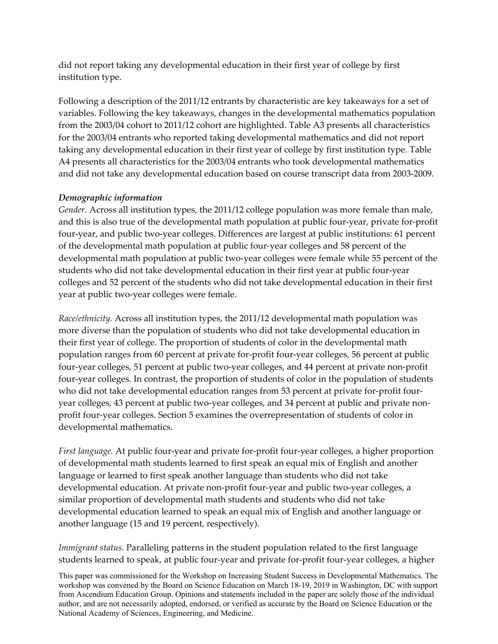did not report taking any developmental education in their first year of college by first institution type.

Following a description of the 2011/12 entrants by characteristic are key takeaways for a set of variables. Following the key takeaways, changes in the developmental mathematics population from the 2003/04 cohort to 2011/12 cohort are highlighted. Table A3 presents all characteristics for the 2003/04 entrants who reported taking developmental mathematics and did not report taking any developmental education in their first year of college by first institution type. Table A4 presents all characteristics for the 2003/04 entrants who took developmental mathematics and did not take any developmental education based on course transcript data from 2003‐2009.

#### *Demographic information*

*Gender.* Across all institution types, the 2011/12 college population was more female than male, and this is also true of the developmental math population at public four‐year, private for‐profit four-year, and public two-year colleges. Differences are largest at public institutions: 61 percent of the developmental math population at public four‐year colleges and 58 percent of the developmental math population at public two‐year colleges were female while 55 percent of the students who did not take developmental education in their first year at public four‐year colleges and 52 percent of the students who did not take developmental education in their first year at public two‐year colleges were female.

*Race/ethnicity.* Across all institution types, the 2011/12 developmental math population was more diverse than the population of students who did not take developmental education in their first year of college. The proportion of students of color in the developmental math population ranges from 60 percent at private for‐profit four‐year colleges, 56 percent at public four-year colleges, 51 percent at public two-year colleges, and 44 percent at private non-profit four-year colleges. In contrast, the proportion of students of color in the population of students who did not take developmental education ranges from 53 percent at private for-profit fouryear colleges, 43 percent at public two-year colleges, and 34 percent at public and private nonprofit four‐year colleges. Section 5 examines the overrepresentation of students of color in developmental mathematics.

*First language.* At public four‐year and private for‐profit four‐year colleges, a higher proportion of developmental math students learned to first speak an equal mix of English and another language or learned to first speak another language than students who did not take developmental education. At private non‐profit four‐year and public two‐year colleges, a similar proportion of developmental math students and students who did not take developmental education learned to speak an equal mix of English and another language or another language (15 and 19 percent, respectively).

*Immigrant status.* Paralleling patterns in the student population related to the first language students learned to speak, at public four‐year and private for‐profit four‐year colleges, a higher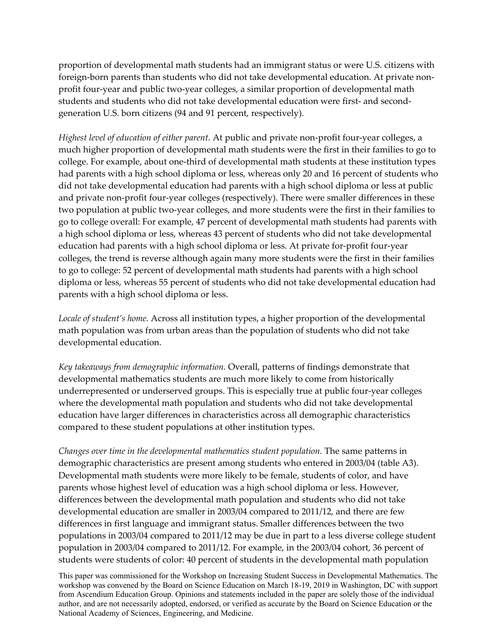proportion of developmental math students had an immigrant status or were U.S. citizens with foreign-born parents than students who did not take developmental education. At private nonprofit four-year and public two-year colleges, a similar proportion of developmental math students and students who did not take developmental education were first- and secondgeneration U.S. born citizens (94 and 91 percent, respectively).

*Highest level of education of either parent.* At public and private non‐profit four‐year colleges, a much higher proportion of developmental math students were the first in their families to go to college. For example, about one‐third of developmental math students at these institution types had parents with a high school diploma or less, whereas only 20 and 16 percent of students who did not take developmental education had parents with a high school diploma or less at public and private non‐profit four‐year colleges (respectively). There were smaller differences in these two population at public two‐year colleges, and more students were the first in their families to go to college overall: For example, 47 percent of developmental math students had parents with a high school diploma or less, whereas 43 percent of students who did not take developmental education had parents with a high school diploma or less. At private for‐profit four‐year colleges, the trend is reverse although again many more students were the first in their families to go to college: 52 percent of developmental math students had parents with a high school diploma or less, whereas 55 percent of students who did not take developmental education had parents with a high school diploma or less.

*Locale of student's home.* Across all institution types, a higher proportion of the developmental math population was from urban areas than the population of students who did not take developmental education.

*Key takeaways from demographic information.* Overall, patterns of findings demonstrate that developmental mathematics students are much more likely to come from historically underrepresented or underserved groups. This is especially true at public four‐year colleges where the developmental math population and students who did not take developmental education have larger differences in characteristics across all demographic characteristics compared to these student populations at other institution types.

*Changes over time in the developmental mathematics student population.* The same patterns in demographic characteristics are present among students who entered in 2003/04 (table A3). Developmental math students were more likely to be female, students of color, and have parents whose highest level of education was a high school diploma or less. However, differences between the developmental math population and students who did not take developmental education are smaller in 2003/04 compared to 2011/12, and there are few differences in first language and immigrant status. Smaller differences between the two populations in 2003/04 compared to 2011/12 may be due in part to a less diverse college student population in 2003/04 compared to 2011/12. For example, in the 2003/04 cohort, 36 percent of students were students of color: 40 percent of students in the developmental math population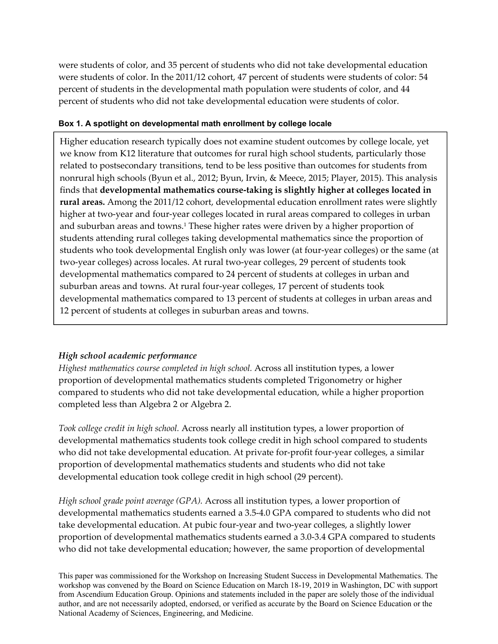were students of color, and 35 percent of students who did not take developmental education were students of color. In the 2011/12 cohort, 47 percent of students were students of color: 54 percent of students in the developmental math population were students of color, and 44 percent of students who did not take developmental education were students of color.

#### **Box 1. A spotlight on developmental math enrollment by college locale**

Higher education research typically does not examine student outcomes by college locale, yet we know from K12 literature that outcomes for rural high school students, particularly those related to postsecondary transitions, tend to be less positive than outcomes for students from nonrural high schools (Byun et al., 2012; Byun, Irvin, & Meece, 2015; Player, 2015). This analysis finds that **developmental mathematics course‐taking is slightly higher at colleges located in rural areas.** Among the 2011/12 cohort, developmental education enrollment rates were slightly higher at two-year and four-year colleges located in rural areas compared to colleges in urban and suburban areas and towns.<sup>1</sup> These higher rates were driven by a higher proportion of students attending rural colleges taking developmental mathematics since the proportion of students who took developmental English only was lower (at four‐year colleges) or the same (at two-year colleges) across locales. At rural two-year colleges, 29 percent of students took developmental mathematics compared to 24 percent of students at colleges in urban and suburban areas and towns. At rural four-year colleges, 17 percent of students took developmental mathematics compared to 13 percent of students at colleges in urban areas and 12 percent of students at colleges in suburban areas and towns.

### *High school academic performance*

*Highest mathematics course completed in high school.* Across all institution types, a lower proportion of developmental mathematics students completed Trigonometry or higher compared to students who did not take developmental education, while a higher proportion completed less than Algebra 2 or Algebra 2.

*Took college credit in high school.* Across nearly all institution types, a lower proportion of developmental mathematics students took college credit in high school compared to students who did not take developmental education. At private for-profit four-year colleges, a similar proportion of developmental mathematics students and students who did not take developmental education took college credit in high school (29 percent).

*High school grade point average (GPA).* Across all institution types, a lower proportion of developmental mathematics students earned a 3.5‐4.0 GPA compared to students who did not take developmental education. At pubic four‐year and two‐year colleges, a slightly lower proportion of developmental mathematics students earned a 3.0‐3.4 GPA compared to students who did not take developmental education; however, the same proportion of developmental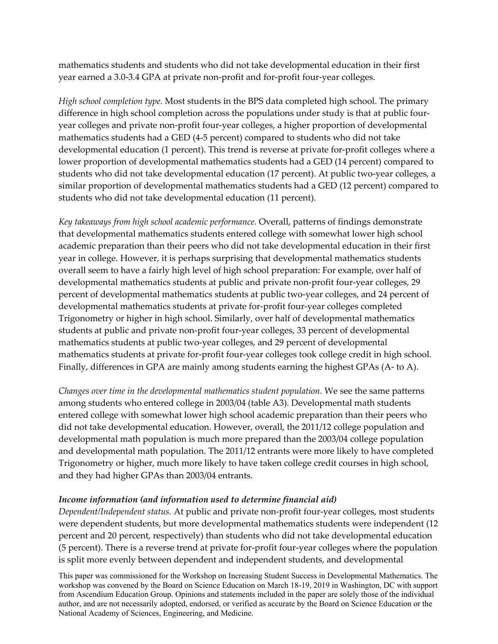mathematics students and students who did not take developmental education in their first year earned a 3.0‐3.4 GPA at private non‐profit and for‐profit four‐year colleges.

*High school completion type.* Most students in the BPS data completed high school. The primary difference in high school completion across the populations under study is that at public fouryear colleges and private non‐profit four‐year colleges, a higher proportion of developmental mathematics students had a GED (4‐5 percent) compared to students who did not take developmental education (1 percent). This trend is reverse at private for-profit colleges where a lower proportion of developmental mathematics students had a GED (14 percent) compared to students who did not take developmental education (17 percent). At public two-year colleges, a similar proportion of developmental mathematics students had a GED (12 percent) compared to students who did not take developmental education (11 percent).

*Key takeaways from high school academic performance.* Overall, patterns of findings demonstrate that developmental mathematics students entered college with somewhat lower high school academic preparation than their peers who did not take developmental education in their first year in college. However, it is perhaps surprising that developmental mathematics students overall seem to have a fairly high level of high school preparation: For example, over half of developmental mathematics students at public and private non‐profit four‐year colleges, 29 percent of developmental mathematics students at public two-year colleges, and 24 percent of developmental mathematics students at private for‐profit four‐year colleges completed Trigonometry or higher in high school. Similarly, over half of developmental mathematics students at public and private non‐profit four‐year colleges, 33 percent of developmental mathematics students at public two‐year colleges, and 29 percent of developmental mathematics students at private for-profit four-year colleges took college credit in high school. Finally, differences in GPA are mainly among students earning the highest GPAs (A‐ to A).

*Changes over time in the developmental mathematics student population.* We see the same patterns among students who entered college in 2003/04 (table A3). Developmental math students entered college with somewhat lower high school academic preparation than their peers who did not take developmental education. However, overall, the 2011/12 college population and developmental math population is much more prepared than the 2003/04 college population and developmental math population. The 2011/12 entrants were more likely to have completed Trigonometry or higher, much more likely to have taken college credit courses in high school, and they had higher GPAs than 2003/04 entrants.

#### *Income information (and information used to determine financial aid)*

*Dependent/Independent status.* At public and private non‐profit four‐year colleges, most students were dependent students, but more developmental mathematics students were independent (12 percent and 20 percent, respectively) than students who did not take developmental education (5 percent). There is a reverse trend at private for‐profit four‐year colleges where the population is split more evenly between dependent and independent students, and developmental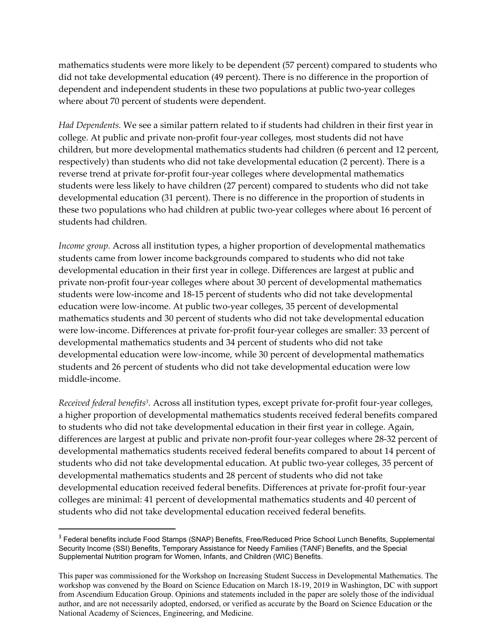mathematics students were more likely to be dependent (57 percent) compared to students who did not take developmental education (49 percent). There is no difference in the proportion of dependent and independent students in these two populations at public two‐year colleges where about 70 percent of students were dependent.

*Had Dependents.* We see a similar pattern related to if students had children in their first year in college. At public and private non‐profit four‐year colleges, most students did not have children, but more developmental mathematics students had children (6 percent and 12 percent, respectively) than students who did not take developmental education (2 percent). There is a reverse trend at private for‐profit four‐year colleges where developmental mathematics students were less likely to have children (27 percent) compared to students who did not take developmental education (31 percent). There is no difference in the proportion of students in these two populations who had children at public two-year colleges where about 16 percent of students had children.

*Income group.* Across all institution types, a higher proportion of developmental mathematics students came from lower income backgrounds compared to students who did not take developmental education in their first year in college. Differences are largest at public and private non‐profit four‐year colleges where about 30 percent of developmental mathematics students were low‐income and 18‐15 percent of students who did not take developmental education were low‐income. At public two‐year colleges, 35 percent of developmental mathematics students and 30 percent of students who did not take developmental education were low-income. Differences at private for-profit four-year colleges are smaller: 33 percent of developmental mathematics students and 34 percent of students who did not take developmental education were low‐income, while 30 percent of developmental mathematics students and 26 percent of students who did not take developmental education were low middle‐income.

*Received federal benefits3.* Across all institution types, except private for‐profit four‐year colleges, a higher proportion of developmental mathematics students received federal benefits compared to students who did not take developmental education in their first year in college. Again, differences are largest at public and private non‐profit four‐year colleges where 28‐32 percent of developmental mathematics students received federal benefits compared to about 14 percent of students who did not take developmental education. At public two‐year colleges, 35 percent of developmental mathematics students and 28 percent of students who did not take developmental education received federal benefits. Differences at private for-profit four-year colleges are minimal: 41 percent of developmental mathematics students and 40 percent of students who did not take developmental education received federal benefits.

<sup>&</sup>lt;sup>3</sup> Federal benefits include Food Stamps (SNAP) Benefits, Free/Reduced Price School Lunch Benefits, Supplemental Security Income (SSI) Benefits, Temporary Assistance for Needy Families (TANF) Benefits, and the Special Supplemental Nutrition program for Women, Infants, and Children (WIC) Benefits.

This paper was commissioned for the Workshop on Increasing Student Success in Developmental Mathematics. The workshop was convened by the Board on Science Education on March 18-19, 2019 in Washington, DC with support from Ascendium Education Group. Opinions and statements included in the paper are solely those of the individual author, and are not necessarily adopted, endorsed, or verified as accurate by the Board on Science Education or the National Academy of Sciences, Engineering, and Medicine.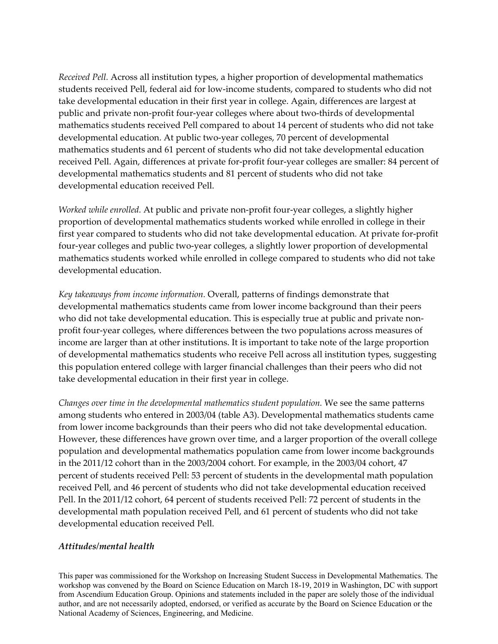*Received Pell.* Across all institution types, a higher proportion of developmental mathematics students received Pell, federal aid for low‐income students, compared to students who did not take developmental education in their first year in college. Again, differences are largest at public and private non‐profit four‐year colleges where about two‐thirds of developmental mathematics students received Pell compared to about 14 percent of students who did not take developmental education. At public two‐year colleges, 70 percent of developmental mathematics students and 61 percent of students who did not take developmental education received Pell. Again, differences at private for‐profit four‐year colleges are smaller: 84 percent of developmental mathematics students and 81 percent of students who did not take developmental education received Pell.

*Worked while enrolled.* At public and private non‐profit four‐year colleges, a slightly higher proportion of developmental mathematics students worked while enrolled in college in their first year compared to students who did not take developmental education. At private for-profit four‐year colleges and public two‐year colleges, a slightly lower proportion of developmental mathematics students worked while enrolled in college compared to students who did not take developmental education.

*Key takeaways from income information.* Overall, patterns of findings demonstrate that developmental mathematics students came from lower income background than their peers who did not take developmental education. This is especially true at public and private nonprofit four-year colleges, where differences between the two populations across measures of income are larger than at other institutions. It is important to take note of the large proportion of developmental mathematics students who receive Pell across all institution types, suggesting this population entered college with larger financial challenges than their peers who did not take developmental education in their first year in college.

*Changes over time in the developmental mathematics student population.* We see the same patterns among students who entered in 2003/04 (table A3). Developmental mathematics students came from lower income backgrounds than their peers who did not take developmental education. However, these differences have grown over time, and a larger proportion of the overall college population and developmental mathematics population came from lower income backgrounds in the 2011/12 cohort than in the 2003/2004 cohort. For example, in the 2003/04 cohort, 47 percent of students received Pell: 53 percent of students in the developmental math population received Pell, and 46 percent of students who did not take developmental education received Pell. In the 2011/12 cohort, 64 percent of students received Pell: 72 percent of students in the developmental math population received Pell, and 61 percent of students who did not take developmental education received Pell.

#### *Attitudes/mental health*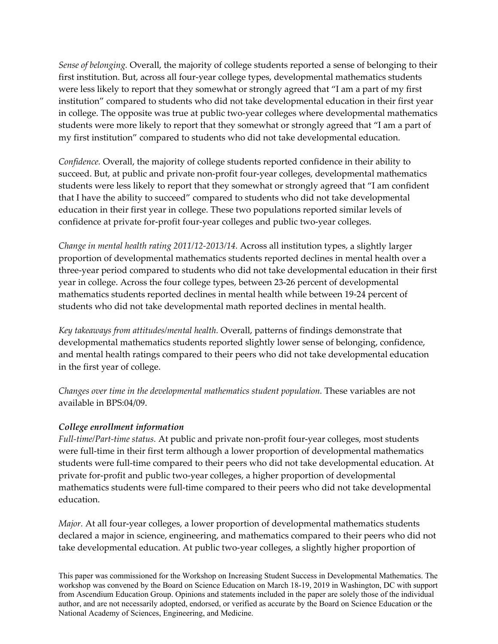*Sense of belonging.* Overall, the majority of college students reported a sense of belonging to their first institution. But, across all four-year college types, developmental mathematics students were less likely to report that they somewhat or strongly agreed that "I am a part of my first institution" compared to students who did not take developmental education in their first year in college. The opposite was true at public two-year colleges where developmental mathematics students were more likely to report that they somewhat or strongly agreed that "I am a part of my first institution" compared to students who did not take developmental education.

*Confidence.* Overall, the majority of college students reported confidence in their ability to succeed. But, at public and private non-profit four-year colleges, developmental mathematics students were less likely to report that they somewhat or strongly agreed that "I am confident that I have the ability to succeed" compared to students who did not take developmental education in their first year in college. These two populations reported similar levels of confidence at private for‐profit four‐year colleges and public two‐year colleges.

*Change in mental health rating 2011/12‐2013/14.* Across all institution types, a slightly larger proportion of developmental mathematics students reported declines in mental health over a three‐year period compared to students who did not take developmental education in their first year in college. Across the four college types, between 23‐26 percent of developmental mathematics students reported declines in mental health while between 19‐24 percent of students who did not take developmental math reported declines in mental health.

*Key takeaways from attitudes/mental health.* Overall, patterns of findings demonstrate that developmental mathematics students reported slightly lower sense of belonging, confidence, and mental health ratings compared to their peers who did not take developmental education in the first year of college.

*Changes over time in the developmental mathematics student population.* These variables are not available in BPS:04/09.

#### *College enrollment information*

*Full‐time/Part‐time status.* At public and private non‐profit four‐year colleges, most students were full-time in their first term although a lower proportion of developmental mathematics students were full-time compared to their peers who did not take developmental education. At private for‐profit and public two‐year colleges, a higher proportion of developmental mathematics students were full‐time compared to their peers who did not take developmental education.

*Major.* At all four-year colleges, a lower proportion of developmental mathematics students declared a major in science, engineering, and mathematics compared to their peers who did not take developmental education. At public two‐year colleges, a slightly higher proportion of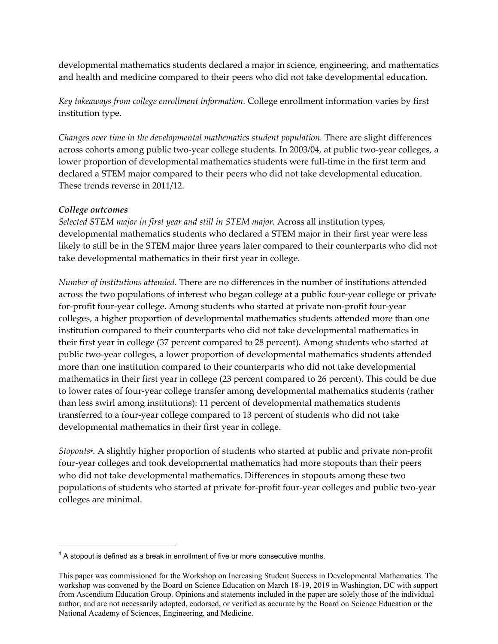developmental mathematics students declared a major in science, engineering, and mathematics and health and medicine compared to their peers who did not take developmental education.

*Key takeaways from college enrollment information.* College enrollment information varies by first institution type.

*Changes over time in the developmental mathematics student population.* There are slight differences across cohorts among public two‐year college students. In 2003/04, at public two‐year colleges, a lower proportion of developmental mathematics students were full-time in the first term and declared a STEM major compared to their peers who did not take developmental education. These trends reverse in 2011/12.

#### *College outcomes*

*Selected STEM major in first year and still in STEM major.* Across all institution types, developmental mathematics students who declared a STEM major in their first year were less likely to still be in the STEM major three years later compared to their counterparts who did not take developmental mathematics in their first year in college.

*Number of institutions attended.* There are no differences in the number of institutions attended across the two populations of interest who began college at a public four‐year college or private for‐profit four‐year college. Among students who started at private non‐profit four‐year colleges, a higher proportion of developmental mathematics students attended more than one institution compared to their counterparts who did not take developmental mathematics in their first year in college (37 percent compared to 28 percent). Among students who started at public two‐year colleges, a lower proportion of developmental mathematics students attended more than one institution compared to their counterparts who did not take developmental mathematics in their first year in college (23 percent compared to 26 percent). This could be due to lower rates of four‐year college transfer among developmental mathematics students (rather than less swirl among institutions): 11 percent of developmental mathematics students transferred to a four‐year college compared to 13 percent of students who did not take developmental mathematics in their first year in college.

*Stopouts4.* A slightly higher proportion of students who started at public and private non‐profit four-year colleges and took developmental mathematics had more stopouts than their peers who did not take developmental mathematics. Differences in stopouts among these two populations of students who started at private for‐profit four‐year colleges and public two‐year colleges are minimal.

 $4$  A stopout is defined as a break in enrollment of five or more consecutive months.

This paper was commissioned for the Workshop on Increasing Student Success in Developmental Mathematics. The workshop was convened by the Board on Science Education on March 18-19, 2019 in Washington, DC with support from Ascendium Education Group. Opinions and statements included in the paper are solely those of the individual author, and are not necessarily adopted, endorsed, or verified as accurate by the Board on Science Education or the National Academy of Sciences, Engineering, and Medicine.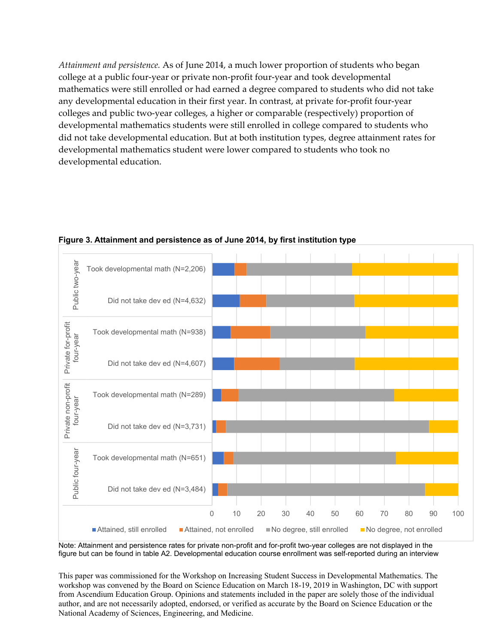*Attainment and persistence.* As of June 2014, a much lower proportion of students who began college at a public four‐year or private non‐profit four‐year and took developmental mathematics were still enrolled or had earned a degree compared to students who did not take any developmental education in their first year. In contrast, at private for‐profit four‐year colleges and public two‐year colleges, a higher or comparable (respectively) proportion of developmental mathematics students were still enrolled in college compared to students who did not take developmental education. But at both institution types, degree attainment rates for developmental mathematics student were lower compared to students who took no developmental education.



**Figure 3. Attainment and persistence as of June 2014, by first institution type** 

Note: Attainment and persistence rates for private non-profit and for-profit two-year colleges are not displayed in the figure but can be found in table A2. Developmental education course enrollment was self-reported during an interview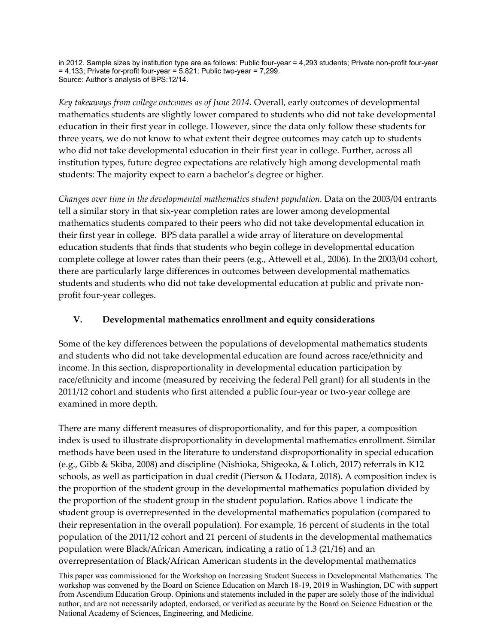in 2012. Sample sizes by institution type are as follows: Public four-year = 4,293 students; Private non-profit four-year  $= 4,133$ ; Private for-profit four-year  $= 5,821$ ; Public two-year  $= 7,299$ . Source: Author's analysis of BPS:12/14.

*Key takeaways from college outcomes as of June 2014.* Overall, early outcomes of developmental mathematics students are slightly lower compared to students who did not take developmental education in their first year in college. However, since the data only follow these students for three years, we do not know to what extent their degree outcomes may catch up to students who did not take developmental education in their first year in college. Further, across all institution types, future degree expectations are relatively high among developmental math students: The majority expect to earn a bachelor's degree or higher.

*Changes over time in the developmental mathematics student population.* Data on the 2003/04 entrants tell a similar story in that six‐year completion rates are lower among developmental mathematics students compared to their peers who did not take developmental education in their first year in college. BPS data parallel a wide array of literature on developmental education students that finds that students who begin college in developmental education complete college at lower rates than their peers (e.g., Attewell et al., 2006). In the 2003/04 cohort, there are particularly large differences in outcomes between developmental mathematics students and students who did not take developmental education at public and private non‐ profit four‐year colleges.

## **V. Developmental mathematics enrollment and equity considerations**

Some of the key differences between the populations of developmental mathematics students and students who did not take developmental education are found across race/ethnicity and income. In this section, disproportionality in developmental education participation by race/ethnicity and income (measured by receiving the federal Pell grant) for all students in the 2011/12 cohort and students who first attended a public four‐year or two‐year college are examined in more depth.

There are many different measures of disproportionality, and for this paper, a composition index is used to illustrate disproportionality in developmental mathematics enrollment. Similar methods have been used in the literature to understand disproportionality in special education (e.g., Gibb & Skiba, 2008) and discipline (Nishioka, Shigeoka, & Lolich, 2017) referrals in K12 schools, as well as participation in dual credit (Pierson & Hodara, 2018). A composition index is the proportion of the student group in the developmental mathematics population divided by the proportion of the student group in the student population. Ratios above 1 indicate the student group is overrepresented in the developmental mathematics population (compared to their representation in the overall population). For example, 16 percent of students in the total population of the 2011/12 cohort and 21 percent of students in the developmental mathematics population were Black/African American, indicating a ratio of 1.3 (21/16) and an overrepresentation of Black/African American students in the developmental mathematics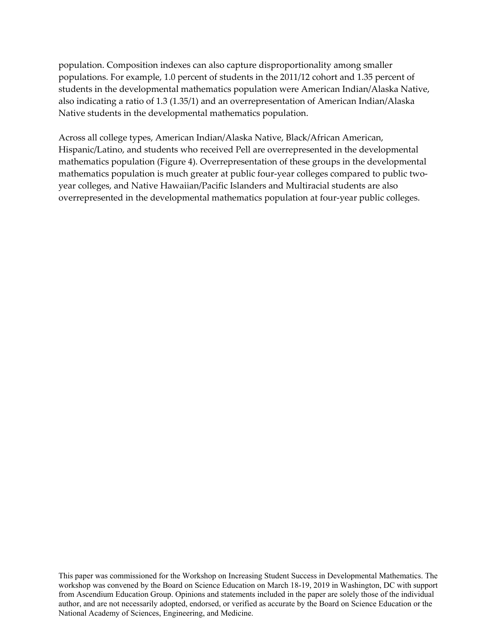population. Composition indexes can also capture disproportionality among smaller populations. For example, 1.0 percent of students in the 2011/12 cohort and 1.35 percent of students in the developmental mathematics population were American Indian/Alaska Native, also indicating a ratio of 1.3 (1.35/1) and an overrepresentation of American Indian/Alaska Native students in the developmental mathematics population.

Across all college types, American Indian/Alaska Native, Black/African American, Hispanic/Latino, and students who received Pell are overrepresented in the developmental mathematics population (Figure 4). Overrepresentation of these groups in the developmental mathematics population is much greater at public four-year colleges compared to public twoyear colleges, and Native Hawaiian/Pacific Islanders and Multiracial students are also overrepresented in the developmental mathematics population at four‐year public colleges.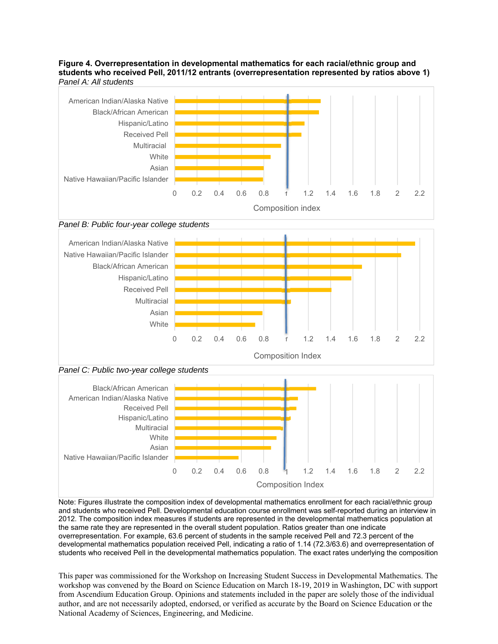#### **Figure 4. Overrepresentation in developmental mathematics for each racial/ethnic group and students who received Pell, 2011/12 entrants (overrepresentation represented by ratios above 1)**  *Panel A: All students*



*Panel B: Public four-year college students* 







Note: Figures illustrate the composition index of developmental mathematics enrollment for each racial/ethnic group and students who received Pell. Developmental education course enrollment was self-reported during an interview in 2012. The composition index measures if students are represented in the developmental mathematics population at the same rate they are represented in the overall student population. Ratios greater than one indicate overrepresentation. For example, 63.6 percent of students in the sample received Pell and 72.3 percent of the developmental mathematics population received Pell, indicating a ratio of 1.14 (72.3/63.6) and overrepresentation of students who received Pell in the developmental mathematics population. The exact rates underlying the composition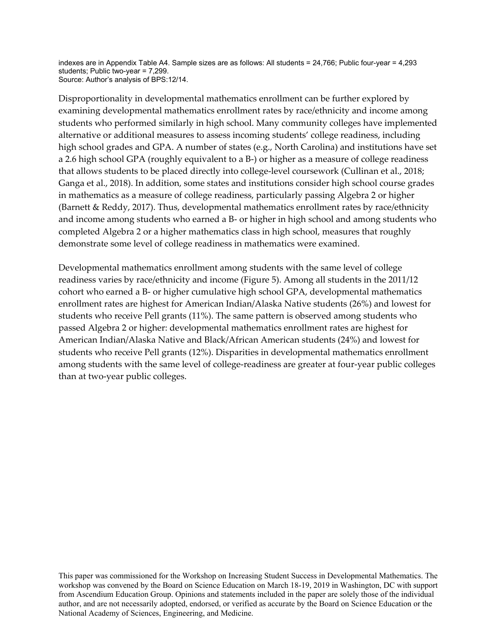indexes are in Appendix Table A4. Sample sizes are as follows: All students = 24,766; Public four-year = 4,293 students; Public two-year = 7,299. Source: Author's analysis of BPS:12/14.

Disproportionality in developmental mathematics enrollment can be further explored by examining developmental mathematics enrollment rates by race/ethnicity and income among students who performed similarly in high school. Many community colleges have implemented alternative or additional measures to assess incoming students' college readiness, including high school grades and GPA. A number of states (e.g., North Carolina) and institutions have set a 2.6 high school GPA (roughly equivalent to a B‐) or higher as a measure of college readiness that allows students to be placed directly into college‐level coursework (Cullinan et al., 2018; Ganga et al., 2018). In addition, some states and institutions consider high school course grades in mathematics as a measure of college readiness, particularly passing Algebra 2 or higher (Barnett & Reddy, 2017). Thus, developmental mathematics enrollment rates by race/ethnicity and income among students who earned a B‐ or higher in high school and among students who completed Algebra 2 or a higher mathematics class in high school, measures that roughly demonstrate some level of college readiness in mathematics were examined.

Developmental mathematics enrollment among students with the same level of college readiness varies by race/ethnicity and income (Figure 5). Among all students in the 2011/12 cohort who earned a B‐ or higher cumulative high school GPA, developmental mathematics enrollment rates are highest for American Indian/Alaska Native students (26%) and lowest for students who receive Pell grants (11%). The same pattern is observed among students who passed Algebra 2 or higher: developmental mathematics enrollment rates are highest for American Indian/Alaska Native and Black/African American students (24%) and lowest for students who receive Pell grants (12%). Disparities in developmental mathematics enrollment among students with the same level of college-readiness are greater at four-year public colleges than at two‐year public colleges.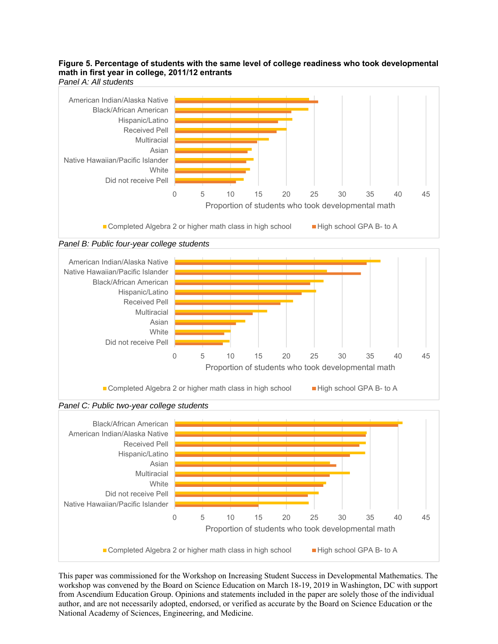#### **Figure 5. Percentage of students with the same level of college readiness who took developmental math in first year in college, 2011/12 entrants**  *Panel A: All students*





Native Hawaiian/Pacific Islander

Did not receive Pell

**White Multiracial** Asian



This paper was commissioned for the Workshop on Increasing Student Success in Developmental Mathematics. The workshop was convened by the Board on Science Education on March 18-19, 2019 in Washington, DC with support from Ascendium Education Group. Opinions and statements included in the paper are solely those of the individual author, and are not necessarily adopted, endorsed, or verified as accurate by the Board on Science Education or the National Academy of Sciences, Engineering, and Medicine.

■ Completed Algebra 2 or higher math class in high school ■ High school GPA B- to A

0 5 10 15 20 25 30 35 40 45

Proportion of students who took developmental math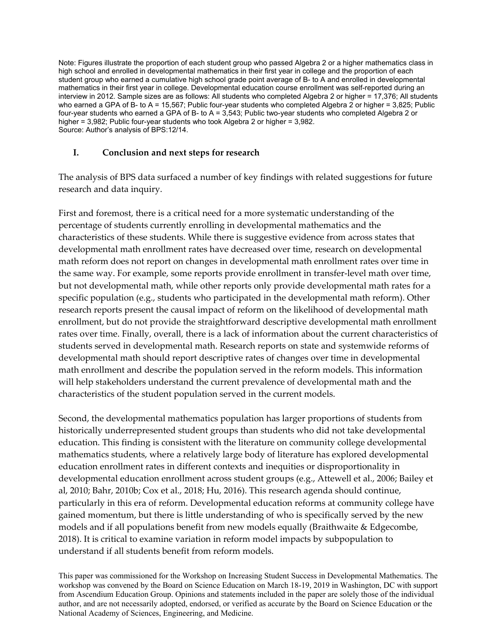Note: Figures illustrate the proportion of each student group who passed Algebra 2 or a higher mathematics class in high school and enrolled in developmental mathematics in their first year in college and the proportion of each student group who earned a cumulative high school grade point average of B- to A and enrolled in developmental mathematics in their first year in college. Developmental education course enrollment was self-reported during an interview in 2012. Sample sizes are as follows: All students who completed Algebra 2 or higher = 17,376; All students who earned a GPA of B- to A = 15,567; Public four-year students who completed Algebra  $2$  or higher = 3,825; Public four-year students who earned a GPA of B- to A = 3,543; Public two-year students who completed Algebra 2 or higher = 3,982; Public four-year students who took Algebra 2 or higher = 3,982. Source: Author's analysis of BPS:12/14.

#### **I. Conclusion and next steps for research**

The analysis of BPS data surfaced a number of key findings with related suggestions for future research and data inquiry.

First and foremost, there is a critical need for a more systematic understanding of the percentage of students currently enrolling in developmental mathematics and the characteristics of these students. While there is suggestive evidence from across states that developmental math enrollment rates have decreased over time, research on developmental math reform does not report on changes in developmental math enrollment rates over time in the same way. For example, some reports provide enrollment in transfer‐level math over time, but not developmental math, while other reports only provide developmental math rates for a specific population (e.g., students who participated in the developmental math reform). Other research reports present the causal impact of reform on the likelihood of developmental math enrollment, but do not provide the straightforward descriptive developmental math enrollment rates over time. Finally, overall, there is a lack of information about the current characteristics of students served in developmental math. Research reports on state and systemwide reforms of developmental math should report descriptive rates of changes over time in developmental math enrollment and describe the population served in the reform models. This information will help stakeholders understand the current prevalence of developmental math and the characteristics of the student population served in the current models.

Second, the developmental mathematics population has larger proportions of students from historically underrepresented student groups than students who did not take developmental education. This finding is consistent with the literature on community college developmental mathematics students, where a relatively large body of literature has explored developmental education enrollment rates in different contexts and inequities or disproportionality in developmental education enrollment across student groups (e.g., Attewell et al., 2006; Bailey et al, 2010; Bahr, 2010b; Cox et al., 2018; Hu, 2016). This research agenda should continue, particularly in this era of reform. Developmental education reforms at community college have gained momentum, but there is little understanding of who is specifically served by the new models and if all populations benefit from new models equally (Braithwaite & Edgecombe, 2018). It is critical to examine variation in reform model impacts by subpopulation to understand if all students benefit from reform models.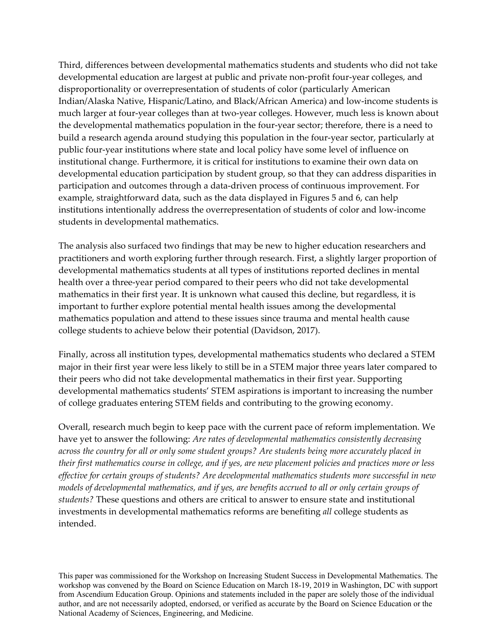Third, differences between developmental mathematics students and students who did not take developmental education are largest at public and private non‐profit four‐year colleges, and disproportionality or overrepresentation of students of color (particularly American Indian/Alaska Native, Hispanic/Latino, and Black/African America) and low‐income students is much larger at four-year colleges than at two-year colleges. However, much less is known about the developmental mathematics population in the four‐year sector; therefore, there is a need to build a research agenda around studying this population in the four-year sector, particularly at public four‐year institutions where state and local policy have some level of influence on institutional change. Furthermore, it is critical for institutions to examine their own data on developmental education participation by student group, so that they can address disparities in participation and outcomes through a data‐driven process of continuous improvement. For example, straightforward data, such as the data displayed in Figures 5 and 6, can help institutions intentionally address the overrepresentation of students of color and low‐income students in developmental mathematics.

The analysis also surfaced two findings that may be new to higher education researchers and practitioners and worth exploring further through research. First, a slightly larger proportion of developmental mathematics students at all types of institutions reported declines in mental health over a three‐year period compared to their peers who did not take developmental mathematics in their first year. It is unknown what caused this decline, but regardless, it is important to further explore potential mental health issues among the developmental mathematics population and attend to these issues since trauma and mental health cause college students to achieve below their potential (Davidson, 2017).

Finally, across all institution types, developmental mathematics students who declared a STEM major in their first year were less likely to still be in a STEM major three years later compared to their peers who did not take developmental mathematics in their first year. Supporting developmental mathematics students' STEM aspirations is important to increasing the number of college graduates entering STEM fields and contributing to the growing economy.

Overall, research much begin to keep pace with the current pace of reform implementation. We have yet to answer the following: *Are rates of developmental mathematics consistently decreasing across the country for all or only some student groups? Are students being more accurately placed in* their first mathematics course in college, and if yes, are new placement policies and practices more or less *effective for certain groups of students? Are developmental mathematics students more successful in new models of developmental mathematics, and if yes, are benefits accrued to all or only certain groups of students?* These questions and others are critical to answer to ensure state and institutional investments in developmental mathematics reforms are benefiting *all* college students as intended.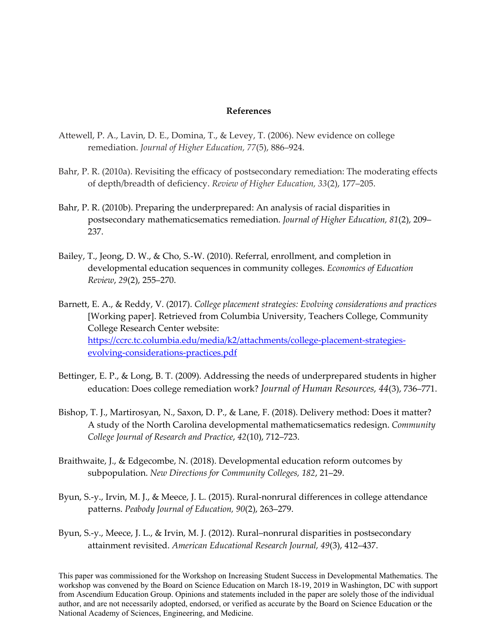#### **References**

- Attewell, P. A., Lavin, D. E., Domina, T., & Levey, T. (2006). New evidence on college remediation. *Journal of Higher Education, 77*(5), 886–924.
- Bahr, P. R. (2010a). Revisiting the efficacy of postsecondary remediation: The moderating effects of depth/breadth of deficiency. *Review of Higher Education, 33*(2), 177–205.
- Bahr, P. R. (2010b). Preparing the underprepared: An analysis of racial disparities in postsecondary mathematicsematics remediation. *Journal of Higher Education, 81*(2), 209– 237.
- Bailey, T., Jeong, D. W., & Cho, S.‐W. (2010). Referral, enrollment, and completion in developmental education sequences in community colleges. *Economics of Education Review*, *29*(2), 255–270.
- Barnett, E. A., & Reddy, V. (2017). *College placement strategies: Evolving considerations and practices* [Working paper]. Retrieved from Columbia University, Teachers College, Community College Research Center website: https://ccrc.tc.columbia.edu/media/k2/attachments/college‐placement‐strategies‐ evolving‐considerations‐practices.pdf
- Bettinger, E. P., & Long, B. T. (2009). Addressing the needs of underprepared students in higher education: Does college remediation work? *Journal of Human Resources, 44*(3), 736–771.
- Bishop, T. J., Martirosyan, N., Saxon, D. P., & Lane, F. (2018). Delivery method: Does it matter? A study of the North Carolina developmental mathematicsematics redesign. *Community College Journal of Research and Practice*, *42*(10), 712–723.
- Braithwaite, J., & Edgecombe, N. (2018). Developmental education reform outcomes by subpopulation. *New Directions for Community Colleges, 182*, 21–29.
- Byun, S.‐y., Irvin, M. J., & Meece, J. L. (2015). Rural‐nonrural differences in college attendance patterns. *Peabody Journal of Education, 90*(2), 263–279.
- Byun, S.‐y., Meece, J. L., & Irvin, M. J. (2012). Rural–nonrural disparities in postsecondary attainment revisited. *American Educational Research Journal, 49*(3), 412–437.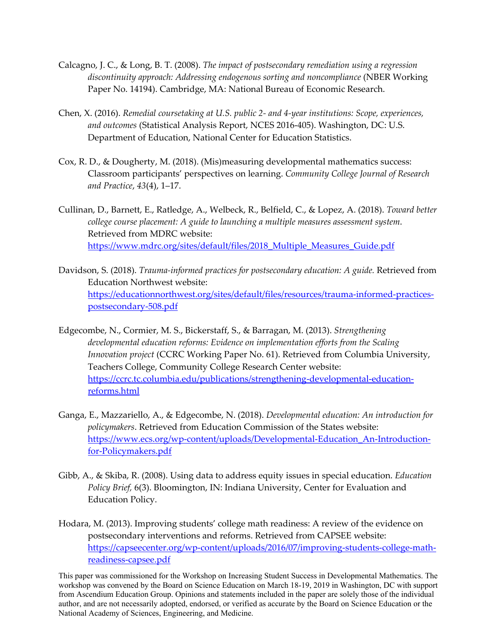- Calcagno, J. C., & Long, B. T. (2008). *The impact of postsecondary remediation using a regression discontinuity approach: Addressing endogenous sorting and noncompliance* (NBER Working Paper No. 14194). Cambridge, MA: National Bureau of Economic Research.
- Chen, X. (2016). *Remedial coursetaking at U.S. public 2‐ and 4‐year institutions: Scope, experiences, and outcomes* (Statistical Analysis Report, NCES 2016‐405). Washington, DC: U.S. Department of Education, National Center for Education Statistics.
- Cox, R. D., & Dougherty, M. (2018). (Mis)measuring developmental mathematics success: Classroom participants' perspectives on learning. *Community College Journal of Research and Practice*, *43*(4), 1–17.
- Cullinan, D., Barnett, E., Ratledge, A., Welbeck, R., Belfield, C., & Lopez, A. (2018). *Toward better college course placement: A guide to launching a multiple measures assessment system*. Retrieved from MDRC website: https://www.mdrc.org/sites/default/files/2018\_Multiple\_Measures\_Guide.pdf
- Davidson, S. (2018). *Trauma‐informed practices for postsecondary education: A guide.* Retrieved from Education Northwest website: https://educationnorthwest.org/sites/default/files/resources/trauma-informed-practicespostsecondary‐508.pdf
- Edgecombe, N., Cormier, M. S., Bickerstaff, S., & Barragan, M. (2013). *Strengthening developmental education reforms: Evidence on implementation efforts from the Scaling Innovation project* (CCRC Working Paper No. 61). Retrieved from Columbia University, Teachers College, Community College Research Center website: https://ccrc.tc.columbia.edu/publications/strengthening‐developmental‐education‐ reforms.html
- Ganga, E., Mazzariello, A., & Edgecombe, N. (2018). *Developmental education: An introduction for policymakers*. Retrieved from Education Commission of the States website: https://www.ecs.org/wp-content/uploads/Developmental-Education An-Introductionfor‐Policymakers.pdf
- Gibb, A., & Skiba, R. (2008). Using data to address equity issues in special education. *Education Policy Brief,* 6(3). Bloomington, IN: Indiana University, Center for Evaluation and Education Policy.
- Hodara, M. (2013). Improving students' college math readiness: A review of the evidence on postsecondary interventions and reforms. Retrieved from CAPSEE website: https://capseecenter.org/wp-content/uploads/2016/07/improving-students-college-mathreadiness‐capsee.pdf

This paper was commissioned for the Workshop on Increasing Student Success in Developmental Mathematics. The workshop was convened by the Board on Science Education on March 18-19, 2019 in Washington, DC with support from Ascendium Education Group. Opinions and statements included in the paper are solely those of the individual author, and are not necessarily adopted, endorsed, or verified as accurate by the Board on Science Education or the National Academy of Sciences, Engineering, and Medicine.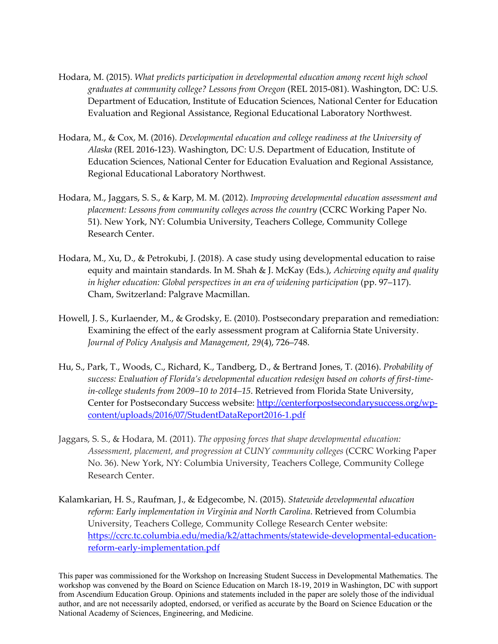- Hodara, M. (2015). *What predicts participation in developmental education among recent high school graduates at community college? Lessons from Oregon* (REL 2015‐081). Washington, DC: U.S. Department of Education, Institute of Education Sciences, National Center for Education Evaluation and Regional Assistance, Regional Educational Laboratory Northwest.
- Hodara, M., & Cox, M. (2016). *Developmental education and college readiness at the University of Alaska* (REL 2016‐123). Washington, DC: U.S. Department of Education, Institute of Education Sciences, National Center for Education Evaluation and Regional Assistance, Regional Educational Laboratory Northwest.
- Hodara, M., Jaggars, S. S., & Karp, M. M. (2012). *Improving developmental education assessment and placement: Lessons from community colleges across the country* (CCRC Working Paper No. 51). New York, NY: Columbia University, Teachers College, Community College Research Center.
- Hodara, M., Xu, D., & Petrokubi, J. (2018). A case study using developmental education to raise equity and maintain standards. In M. Shah & J. McKay (Eds.), *Achieving equity and quality in higher education: Global perspectives in an era of widening participation* (pp. 97–117). Cham, Switzerland: Palgrave Macmillan.
- Howell, J. S., Kurlaender, M., & Grodsky, E. (2010). Postsecondary preparation and remediation: Examining the effect of the early assessment program at California State University. *Journal of Policy Analysis and Management, 29*(4), 726–748.
- Hu, S., Park, T., Woods, C., Richard, K., Tandberg, D., & Bertrand Jones, T. (2016). *Probability of success: Evaluation of Florida's developmental education redesign based on cohorts of first‐time‐ in‐college students from 2009–10 to 2014–15*. Retrieved from Florida State University, Center for Postsecondary Success website: http://centerforpostsecondarysuccess.org/wp‐ content/uploads/2016/07/StudentDataReport2016‐1.pdf
- Jaggars, S. S., & Hodara, M. (2011). *The opposing forces that shape developmental education: Assessment, placement, and progression at CUNY community colleges* (CCRC Working Paper No. 36). New York, NY: Columbia University, Teachers College, Community College Research Center.
- Kalamkarian, H. S., Raufman, J., & Edgecombe, N. (2015). *Statewide developmental education reform: Early implementation in Virginia and North Carolina*. Retrieved from Columbia University, Teachers College, Community College Research Center website: https://ccrc.tc.columbia.edu/media/k2/attachments/statewide‐developmental‐education‐ reform‐early‐implementation.pdf

This paper was commissioned for the Workshop on Increasing Student Success in Developmental Mathematics. The workshop was convened by the Board on Science Education on March 18-19, 2019 in Washington, DC with support from Ascendium Education Group. Opinions and statements included in the paper are solely those of the individual author, and are not necessarily adopted, endorsed, or verified as accurate by the Board on Science Education or the National Academy of Sciences, Engineering, and Medicine.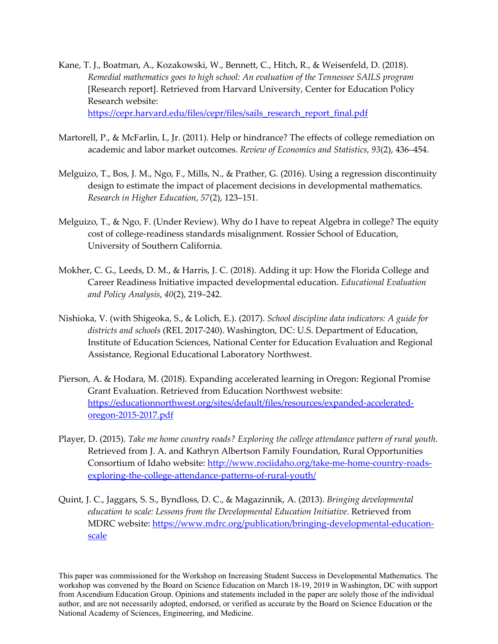- Kane, T. J., Boatman, A., Kozakowski, W., Bennett, C., Hitch, R., & Weisenfeld, D. (2018). *Remedial mathematics goes to high school: An evaluation of the Tennessee SAILS program* [Research report]. Retrieved from Harvard University, Center for Education Policy Research website: https://cepr.harvard.edu/files/cepr/files/sails\_research\_report\_final.pdf
- Martorell, P., & McFarlin, I., Jr. (2011). Help or hindrance? The effects of college remediation on academic and labor market outcomes. *Review of Economics and Statistics, 93*(2), 436–454.
- Melguizo, T., Bos, J. M., Ngo, F., Mills, N., & Prather, G. (2016). Using a regression discontinuity design to estimate the impact of placement decisions in developmental mathematics. *Research in Higher Education*, *57*(2), 123–151.
- Melguizo, T., & Ngo, F. (Under Review). Why do I have to repeat Algebra in college? The equity cost of college‐readiness standards misalignment. Rossier School of Education, University of Southern California.
- Mokher, C. G., Leeds, D. M., & Harris, J. C. (2018). Adding it up: How the Florida College and Career Readiness Initiative impacted developmental education. *Educational Evaluation and Policy Analysis*, *40*(2), 219–242.
- Nishioka, V. (with Shigeoka, S., & Lolich, E.). (2017). *School discipline data indicators: A guide for districts and schools* (REL 2017‐240). Washington, DC: U.S. Department of Education, Institute of Education Sciences, National Center for Education Evaluation and Regional Assistance, Regional Educational Laboratory Northwest.
- Pierson, A. & Hodara, M. (2018). Expanding accelerated learning in Oregon: Regional Promise Grant Evaluation. Retrieved from Education Northwest website: https://educationnorthwest.org/sites/default/files/resources/expanded‐accelerated‐ oregon‐2015‐2017.pdf
- Player, D. (2015). *Take me home country roads? Exploring the college attendance pattern of rural youth*. Retrieved from J. A. and Kathryn Albertson Family Foundation, Rural Opportunities Consortium of Idaho website: http://www.rociidaho.org/take-me-home-country-roadsexploring-the-college-attendance-patterns-of-rural-youth/
- Quint, J. C., Jaggars, S. S., Byndloss, D. C., & Magazinnik, A. (2013). *Bringing developmental education to scale: Lessons from the Developmental Education Initiative*. Retrieved from MDRC website: https://www.mdrc.org/publication/bringing-developmental-educationscale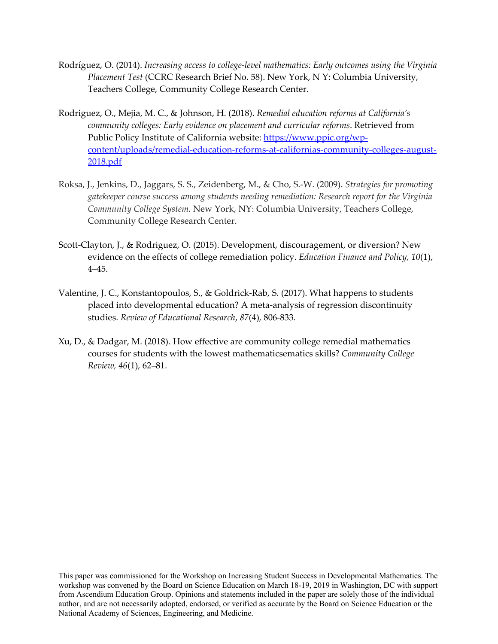- Rodríguez, O. (2014). *Increasing access to college‐level mathematics: Early outcomes using the Virginia Placement Test* (CCRC Research Brief No. 58). New York, N Y: Columbia University, Teachers College, Community College Research Center.
- Rodriguez, O., Mejia, M. C., & Johnson, H. (2018). *Remedial education reforms at California's community colleges: Early evidence on placement and curricular reforms*. Retrieved from Public Policy Institute of California website: https://www.ppic.org/wpcontent/uploads/remedial‐education‐reforms‐at‐californias‐community‐colleges‐august‐ 2018.pdf
- Roksa, J., Jenkins, D., Jaggars, S. S., Zeidenberg, M., & Cho, S.‐W. (2009). *Strategies for promoting gatekeeper course success among students needing remediation: Research report for the Virginia Community College System.* New York, NY: Columbia University, Teachers College, Community College Research Center.
- Scott‐Clayton, J., & Rodriguez, O. (2015). Development, discouragement, or diversion? New evidence on the effects of college remediation policy. *Education Finance and Policy, 10*(1), 4–45.
- Valentine, J. C., Konstantopoulos, S., & Goldrick‐Rab, S. (2017). What happens to students placed into developmental education? A meta‐analysis of regression discontinuity studies. *Review of Educational Research*, *87*(4), 806‐833.
- Xu, D., & Dadgar, M. (2018). How effective are community college remedial mathematics courses for students with the lowest mathematicsematics skills? *Community College Review, 46*(1), 62–81.

This paper was commissioned for the Workshop on Increasing Student Success in Developmental Mathematics. The workshop was convened by the Board on Science Education on March 18-19, 2019 in Washington, DC with support from Ascendium Education Group. Opinions and statements included in the paper are solely those of the individual author, and are not necessarily adopted, endorsed, or verified as accurate by the Board on Science Education or the National Academy of Sciences, Engineering, and Medicine.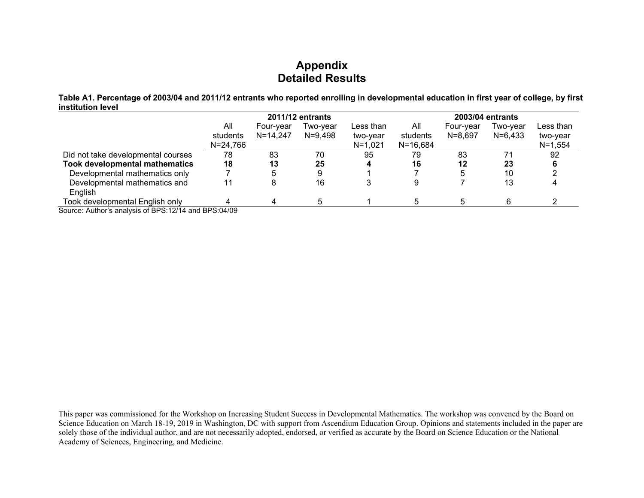# **Appendix Detailed Results**

**Table A1. Percentage of 2003/04 and 2011/12 entrants who reported enrolling in developmental education in first year of college, by first institution level** 

|                                                        |              |              | 2011/12 entrants |             |              |             | 2003/04 entrants |             |
|--------------------------------------------------------|--------------|--------------|------------------|-------------|--------------|-------------|------------------|-------------|
|                                                        | All          | Four-vear    | Two-vear         | Less than   | All          | Four-vear   | Two-vear         | Less than   |
|                                                        | students     | $N = 14,247$ | N=9,498          | two-year    | students     | $N = 8,697$ | $N = 6,433$      | two-year    |
|                                                        | $N = 24,766$ |              |                  | $N = 1.021$ | $N = 16,684$ |             |                  | $N = 1,554$ |
| Did not take developmental courses                     | 78           | 83           | 70               | 95          | 79           | 83          |                  | 92          |
| <b>Took developmental mathematics</b>                  | 18           | 13           | 25               | 4           | 16           | 12          | 23               |             |
| Developmental mathematics only                         |              |              |                  |             |              | 5           | 10               |             |
| Developmental mathematics and                          | 11           |              | 16               | 3           |              |             | 13               |             |
| <b>English</b>                                         |              |              |                  |             |              |             |                  |             |
| Took developmental English only                        |              |              |                  |             |              | 5           |                  |             |
| Source: Author's anglueis of PDS: 12/14 and PDS: 04/00 |              |              |                  |             |              |             |                  |             |

Source: Author's analysis of BPS:12/14 and BPS:04/09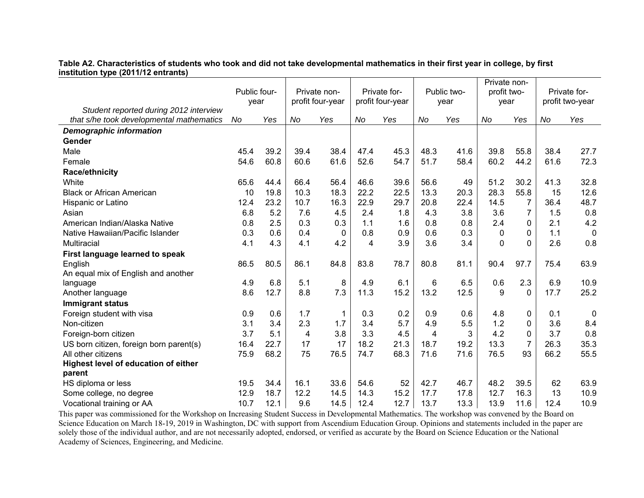**Table A2. Characteristics of students who took and did not take developmental mathematics in their first year in college, by first institution type (2011/12 entrants)** 

|                                                                                    | Public four-<br>year |      | Private non-<br>profit four-year |      | Private for-<br>profit four-year |      |      | Public two-<br>year | Private non-<br>profit two-<br>year |                |      | Private for-<br>profit two-year |
|------------------------------------------------------------------------------------|----------------------|------|----------------------------------|------|----------------------------------|------|------|---------------------|-------------------------------------|----------------|------|---------------------------------|
| Student reported during 2012 interview<br>that s/he took developmental mathematics | No                   | Yes  | No                               | Yes  | No                               | Yes  | No   | Yes                 | No                                  | Yes            | No   | Yes                             |
| <b>Demographic information</b>                                                     |                      |      |                                  |      |                                  |      |      |                     |                                     |                |      |                                 |
| Gender                                                                             |                      |      |                                  |      |                                  |      |      |                     |                                     |                |      |                                 |
| Male                                                                               | 45.4                 | 39.2 | 39.4                             | 38.4 | 47.4                             | 45.3 | 48.3 | 41.6                | 39.8                                | 55.8           | 38.4 | 27.7                            |
| Female                                                                             | 54.6                 | 60.8 | 60.6                             | 61.6 | 52.6                             | 54.7 | 51.7 | 58.4                | 60.2                                | 44.2           | 61.6 | 72.3                            |
| Race/ethnicity                                                                     |                      |      |                                  |      |                                  |      |      |                     |                                     |                |      |                                 |
| White                                                                              | 65.6                 | 44.4 | 66.4                             | 56.4 | 46.6                             | 39.6 | 56.6 | 49                  | 51.2                                | 30.2           | 41.3 | 32.8                            |
| <b>Black or African American</b>                                                   | 10                   | 19.8 | 10.3                             | 18.3 | 22.2                             | 22.5 | 13.3 | 20.3                | 28.3                                | 55.8           | 15   | 12.6                            |
| Hispanic or Latino                                                                 | 12.4                 | 23.2 | 10.7                             | 16.3 | 22.9                             | 29.7 | 20.8 | 22.4                | 14.5                                | 7              | 36.4 | 48.7                            |
| Asian                                                                              | 6.8                  | 5.2  | 7.6                              | 4.5  | 2.4                              | 1.8  | 4.3  | 3.8                 | 3.6                                 | $\overline{7}$ | 1.5  | 0.8                             |
| American Indian/Alaska Native                                                      | 0.8                  | 2.5  | 0.3                              | 0.3  | 1.1                              | 1.6  | 0.8  | 0.8                 | 2.4                                 | 0              | 2.1  | 4.2                             |
| Native Hawaiian/Pacific Islander                                                   | 0.3                  | 0.6  | 0.4                              | 0    | 0.8                              | 0.9  | 0.6  | 0.3                 | $\mathbf{0}$                        | 0              | 1.1  | $\mathbf 0$                     |
| Multiracial                                                                        | 4.1                  | 4.3  | 4.1                              | 4.2  | 4                                | 3.9  | 3.6  | 3.4                 | $\mathbf 0$                         | 0              | 2.6  | 0.8                             |
| First language learned to speak                                                    |                      |      |                                  |      |                                  |      |      |                     |                                     |                |      |                                 |
| English                                                                            | 86.5                 | 80.5 | 86.1                             | 84.8 | 83.8                             | 78.7 | 80.8 | 81.1                | 90.4                                | 97.7           | 75.4 | 63.9                            |
| An equal mix of English and another                                                |                      |      |                                  |      |                                  |      |      |                     |                                     |                |      |                                 |
| language                                                                           | 4.9                  | 6.8  | 5.1                              | 8    | 4.9                              | 6.1  | 6    | 6.5                 | 0.6                                 | 2.3            | 6.9  | 10.9                            |
| Another language                                                                   | 8.6                  | 12.7 | 8.8                              | 7.3  | 11.3                             | 15.2 | 13.2 | 12.5                | 9                                   | $\Omega$       | 17.7 | 25.2                            |
| Immigrant status                                                                   |                      |      |                                  |      |                                  |      |      |                     |                                     |                |      |                                 |
| Foreign student with visa                                                          | 0.9                  | 0.6  | 1.7                              | 1    | 0.3                              | 0.2  | 0.9  | 0.6                 | 4.8                                 | 0              | 0.1  | $\mathbf 0$                     |
| Non-citizen                                                                        | 3.1                  | 3.4  | 2.3                              | 1.7  | 3.4                              | 5.7  | 4.9  | 5.5                 | 1.2                                 | 0              | 3.6  | 8.4                             |
| Foreign-born citizen                                                               | 3.7                  | 5.1  | 4                                | 3.8  | 3.3                              | 4.5  | 4    | 3                   | 4.2                                 | 0              | 3.7  | 0.8                             |
| US born citizen, foreign born parent(s)                                            | 16.4                 | 22.7 | 17                               | 17   | 18.2                             | 21.3 | 18.7 | 19.2                | 13.3                                | 7              | 26.3 | 35.3                            |
| All other citizens                                                                 | 75.9                 | 68.2 | 75                               | 76.5 | 74.7                             | 68.3 | 71.6 | 71.6                | 76.5                                | 93             | 66.2 | 55.5                            |
| Highest level of education of either<br>parent                                     |                      |      |                                  |      |                                  |      |      |                     |                                     |                |      |                                 |
| HS diploma or less                                                                 | 19.5                 | 34.4 | 16.1                             | 33.6 | 54.6                             | 52   | 42.7 | 46.7                | 48.2                                | 39.5           | 62   | 63.9                            |
| Some college, no degree                                                            | 12.9                 | 18.7 | 12.2                             | 14.5 | 14.3                             | 15.2 | 17.7 | 17.8                | 12.7                                | 16.3           | 13   | 10.9                            |
| Vocational training or AA                                                          | 10.7                 | 12.1 | 9.6                              | 14.5 | 12.4                             | 12.7 | 13.7 | 13.3                | 13.9                                | 11.6           | 12.4 | 10.9                            |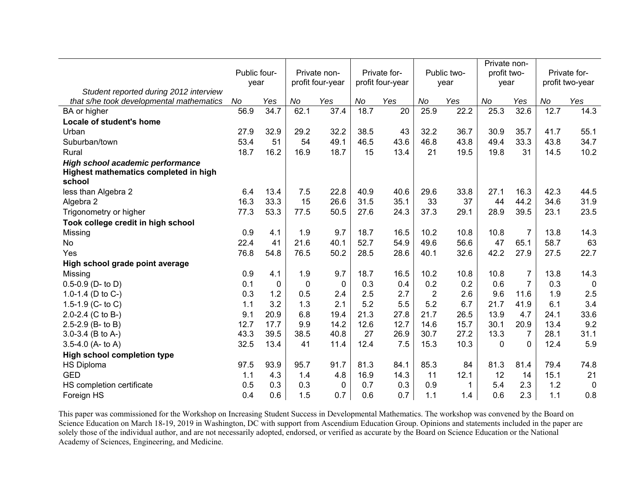|                                                                           | Public four- |             |      | Private non-     |      | Private for-     |                | Public two- | Private non-<br>profit two- |                |      | Private for-    |
|---------------------------------------------------------------------------|--------------|-------------|------|------------------|------|------------------|----------------|-------------|-----------------------------|----------------|------|-----------------|
|                                                                           | year         |             |      | profit four-year |      | profit four-year |                | year        | year                        |                |      | profit two-year |
| Student reported during 2012 interview                                    |              |             |      |                  |      |                  |                |             |                             |                |      |                 |
| that s/he took developmental mathematics                                  | No           | Yes         | No   | Yes              | No   | Yes              | No             | Yes         | No                          | Yes            | No   | Yes             |
| BA or higher                                                              | 56.9         | 34.7        | 62.1 | 37.4             | 18.7 | 20               | 25.9           | 22.2        | 25.3                        | 32.6           | 12.7 | 14.3            |
| Locale of student's home                                                  |              |             |      |                  |      |                  |                |             |                             |                |      |                 |
| Urban                                                                     | 27.9         | 32.9        | 29.2 | 32.2             | 38.5 | 43               | 32.2           | 36.7        | 30.9                        | 35.7           | 41.7 | 55.1            |
| Suburban/town                                                             | 53.4         | 51          | 54   | 49.1             | 46.5 | 43.6             | 46.8           | 43.8        | 49.4                        | 33.3           | 43.8 | 34.7            |
| Rural                                                                     | 18.7         | 16.2        | 16.9 | 18.7             | 15   | 13.4             | 21             | 19.5        | 19.8                        | 31             | 14.5 | 10.2            |
| High school academic performance<br>Highest mathematics completed in high |              |             |      |                  |      |                  |                |             |                             |                |      |                 |
| school                                                                    |              |             |      |                  |      |                  |                |             |                             |                |      |                 |
| less than Algebra 2                                                       | 6.4          | 13.4        | 7.5  | 22.8             | 40.9 | 40.6             | 29.6           | 33.8        | 27.1                        | 16.3           | 42.3 | 44.5            |
| Algebra 2                                                                 | 16.3         | 33.3        | 15   | 26.6             | 31.5 | 35.1             | 33             | 37          | 44                          | 44.2           | 34.6 | 31.9            |
| Trigonometry or higher                                                    | 77.3         | 53.3        | 77.5 | 50.5             | 27.6 | 24.3             | 37.3           | 29.1        | 28.9                        | 39.5           | 23.1 | 23.5            |
| Took college credit in high school                                        |              |             |      |                  |      |                  |                |             |                             |                |      |                 |
| Missing                                                                   | 0.9          | 4.1         | 1.9  | 9.7              | 18.7 | 16.5             | 10.2           | 10.8        | 10.8                        | $\overline{7}$ | 13.8 | 14.3            |
| No                                                                        | 22.4         | 41          | 21.6 | 40.1             | 52.7 | 54.9             | 49.6           | 56.6        | 47                          | 65.1           | 58.7 | 63              |
| Yes                                                                       | 76.8         | 54.8        | 76.5 | 50.2             | 28.5 | 28.6             | 40.1           | 32.6        | 42.2                        | 27.9           | 27.5 | 22.7            |
| High school grade point average                                           |              |             |      |                  |      |                  |                |             |                             |                |      |                 |
| Missing                                                                   | 0.9          | 4.1         | 1.9  | 9.7              | 18.7 | 16.5             | 10.2           | 10.8        | 10.8                        | 7              | 13.8 | 14.3            |
| $0.5 - 0.9$ (D- to D)                                                     | 0.1          | $\mathbf 0$ | 0    | 0                | 0.3  | 0.4              | 0.2            | 0.2         | 0.6                         | $\overline{7}$ | 0.3  | $\overline{0}$  |
| 1.0-1.4 (D to C-)                                                         | 0.3          | 1.2         | 0.5  | 2.4              | 2.5  | 2.7              | $\overline{2}$ | 2.6         | 9.6                         | 11.6           | 1.9  | 2.5             |
| 1.5-1.9 (C- to C)                                                         | 1.1          | 3.2         | 1.3  | 2.1              | 5.2  | 5.5              | 5.2            | 6.7         | 21.7                        | 41.9           | 6.1  | 3.4             |
| 2.0-2.4 (C to B-)                                                         | 9.1          | 20.9        | 6.8  | 19.4             | 21.3 | 27.8             | 21.7           | 26.5        | 13.9                        | 4.7            | 24.1 | 33.6            |
| 2.5-2.9 (B- to B)                                                         | 12.7         | 17.7        | 9.9  | 14.2             | 12.6 | 12.7             | 14.6           | 15.7        | 30.1                        | 20.9           | 13.4 | 9.2             |
| 3.0-3.4 (B to A-)                                                         | 43.3         | 39.5        | 38.5 | 40.8             | 27   | 26.9             | 30.7           | 27.2        | 13.3                        | 7              | 28.1 | 31.1            |
| 3.5-4.0 (A- to A)                                                         | 32.5         | 13.4        | 41   | 11.4             | 12.4 | 7.5              | 15.3           | 10.3        | 0                           | $\Omega$       | 12.4 | 5.9             |
| <b>High school completion type</b>                                        |              |             |      |                  |      |                  |                |             |                             |                |      |                 |
| <b>HS Diploma</b>                                                         | 97.5         | 93.9        | 95.7 | 91.7             | 81.3 | 84.1             | 85.3           | 84          | 81.3                        | 81.4           | 79.4 | 74.8            |
| <b>GED</b>                                                                | 1.1          | 4.3         | 1.4  | 4.8              | 16.9 | 14.3             | 11             | 12.1        | 12                          | 14             | 15.1 | 21              |
| HS completion certificate                                                 | 0.5          | 0.3         | 0.3  | 0                | 0.7  | 0.3              | 0.9            | 1           | 5.4                         | 2.3            | 1.2  | $\mathbf 0$     |
| Foreign HS                                                                | 0.4          | 0.6         | 1.5  | 0.7              | 0.6  | 0.7              | 1.1            | 1.4         | 0.6                         | 2.3            | 1.1  | 0.8             |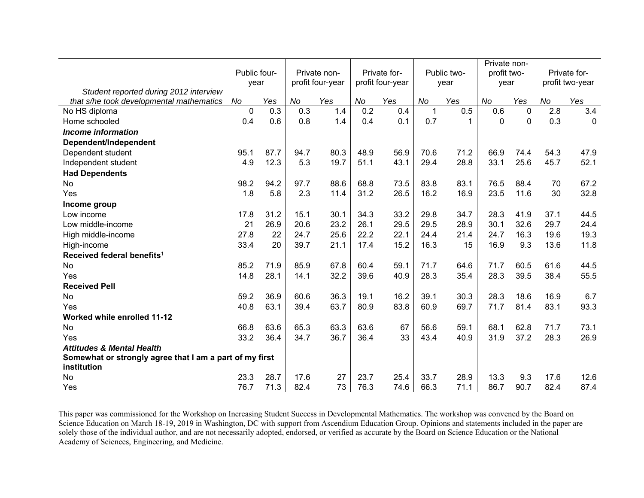|                                                                        |              |      |      |                  |      |                  |      |             | Private non- |      |      |                 |
|------------------------------------------------------------------------|--------------|------|------|------------------|------|------------------|------|-------------|--------------|------|------|-----------------|
|                                                                        | Public four- |      |      | Private non-     |      | Private for-     |      | Public two- | profit two-  |      |      | Private for-    |
| Student reported during 2012 interview                                 | year         |      |      | profit four-year |      | profit four-year |      | year        | year         |      |      | profit two-year |
| that s/he took developmental mathematics                               | No           | Yes  | No   | Yes              | No   | Yes              | No   | Yes         | No           | Yes  | No   | Yes             |
| No HS diploma                                                          | $\mathbf 0$  | 0.3  | 0.3  | 1.4              | 0.2  | 0.4              | 1    | 0.5         | 0.6          | 0    | 2.8  | 3.4             |
| Home schooled                                                          | 0.4          | 0.6  | 0.8  | 1.4              | 0.4  | 0.1              | 0.7  | 1           | 0            | 0    | 0.3  | $\mathbf 0$     |
| <b>Income information</b>                                              |              |      |      |                  |      |                  |      |             |              |      |      |                 |
| Dependent/Independent                                                  |              |      |      |                  |      |                  |      |             |              |      |      |                 |
| Dependent student                                                      | 95.1         | 87.7 | 94.7 | 80.3             | 48.9 | 56.9             | 70.6 | 71.2        | 66.9         | 74.4 | 54.3 | 47.9            |
| Independent student                                                    | 4.9          | 12.3 | 5.3  | 19.7             | 51.1 | 43.1             | 29.4 | 28.8        | 33.1         | 25.6 | 45.7 | 52.1            |
| <b>Had Dependents</b>                                                  |              |      |      |                  |      |                  |      |             |              |      |      |                 |
| No                                                                     | 98.2         | 94.2 | 97.7 | 88.6             | 68.8 | 73.5             | 83.8 | 83.1        | 76.5         | 88.4 | 70   | 67.2            |
| Yes                                                                    | 1.8          | 5.8  | 2.3  | 11.4             | 31.2 | 26.5             | 16.2 | 16.9        | 23.5         | 11.6 | 30   | 32.8            |
| Income group                                                           |              |      |      |                  |      |                  |      |             |              |      |      |                 |
| Low income                                                             | 17.8         | 31.2 | 15.1 | 30.1             | 34.3 | 33.2             | 29.8 | 34.7        | 28.3         | 41.9 | 37.1 | 44.5            |
| Low middle-income                                                      | 21           | 26.9 | 20.6 | 23.2             | 26.1 | 29.5             | 29.5 | 28.9        | 30.1         | 32.6 | 29.7 | 24.4            |
| High middle-income                                                     | 27.8         | 22   | 24.7 | 25.6             | 22.2 | 22.1             | 24.4 | 21.4        | 24.7         | 16.3 | 19.6 | 19.3            |
| High-income                                                            | 33.4         | 20   | 39.7 | 21.1             | 17.4 | 15.2             | 16.3 | 15          | 16.9         | 9.3  | 13.6 | 11.8            |
| Received federal benefits <sup>1</sup>                                 |              |      |      |                  |      |                  |      |             |              |      |      |                 |
| No                                                                     | 85.2         | 71.9 | 85.9 | 67.8             | 60.4 | 59.1             | 71.7 | 64.6        | 71.7         | 60.5 | 61.6 | 44.5            |
| Yes                                                                    | 14.8         | 28.1 | 14.1 | 32.2             | 39.6 | 40.9             | 28.3 | 35.4        | 28.3         | 39.5 | 38.4 | 55.5            |
| <b>Received Pell</b>                                                   |              |      |      |                  |      |                  |      |             |              |      |      |                 |
| No                                                                     | 59.2         | 36.9 | 60.6 | 36.3             | 19.1 | 16.2             | 39.1 | 30.3        | 28.3         | 18.6 | 16.9 | 6.7             |
| Yes                                                                    | 40.8         | 63.1 | 39.4 | 63.7             | 80.9 | 83.8             | 60.9 | 69.7        | 71.7         | 81.4 | 83.1 | 93.3            |
| Worked while enrolled 11-12                                            |              |      |      |                  |      |                  |      |             |              |      |      |                 |
| No                                                                     | 66.8         | 63.6 | 65.3 | 63.3             | 63.6 | 67               | 56.6 | 59.1        | 68.1         | 62.8 | 71.7 | 73.1            |
| Yes                                                                    | 33.2         | 36.4 | 34.7 | 36.7             | 36.4 | 33               | 43.4 | 40.9        | 31.9         | 37.2 | 28.3 | 26.9            |
| <b>Attitudes &amp; Mental Health</b>                                   |              |      |      |                  |      |                  |      |             |              |      |      |                 |
| Somewhat or strongly agree that I am a part of my first<br>institution |              |      |      |                  |      |                  |      |             |              |      |      |                 |
| No                                                                     | 23.3         | 28.7 | 17.6 | 27               | 23.7 | 25.4             | 33.7 | 28.9        | 13.3         | 9.3  | 17.6 | 12.6            |
| Yes                                                                    | 76.7         | 71.3 | 82.4 | 73               | 76.3 | 74.6             | 66.3 | 71.1        | 86.7         | 90.7 | 82.4 | 87.4            |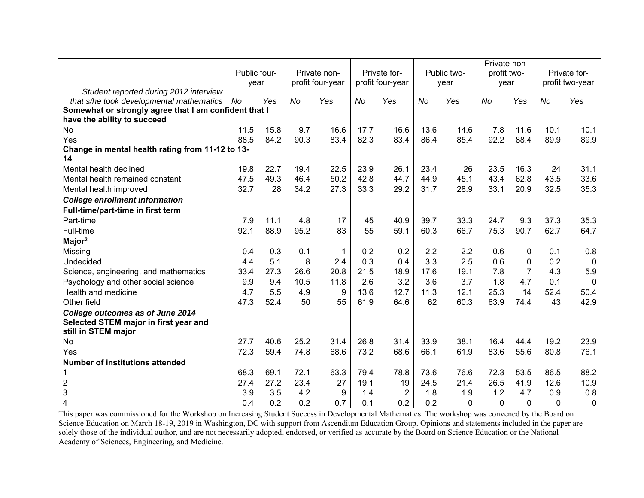|                                                       | Public four- |      |           | Private non-     |      | Private for-     |      | Public two-  | Private non-<br>profit two- |                |          | Private for-    |
|-------------------------------------------------------|--------------|------|-----------|------------------|------|------------------|------|--------------|-----------------------------|----------------|----------|-----------------|
| Student reported during 2012 interview                | vear         |      |           | profit four-year |      | profit four-year |      | year         | year                        |                |          | profit two-year |
| that s/he took developmental mathematics              | No           | Yes  | <b>No</b> | Yes              | No   | Yes              | No   | Yes          | No                          | Yes            | No       | Yes             |
| Somewhat or strongly agree that I am confident that I |              |      |           |                  |      |                  |      |              |                             |                |          |                 |
| have the ability to succeed                           |              |      |           |                  |      |                  |      |              |                             |                |          |                 |
| No                                                    | 11.5         | 15.8 | 9.7       | 16.6             | 17.7 | 16.6             | 13.6 | 14.6         | 7.8                         | 11.6           | 10.1     | 10.1            |
| Yes                                                   | 88.5         | 84.2 | 90.3      | 83.4             | 82.3 | 83.4             | 86.4 | 85.4         | 92.2                        | 88.4           | 89.9     | 89.9            |
| Change in mental health rating from 11-12 to 13-      |              |      |           |                  |      |                  |      |              |                             |                |          |                 |
| 14                                                    |              |      |           |                  |      |                  |      |              |                             |                |          |                 |
| Mental health declined                                | 19.8         | 22.7 | 19.4      | 22.5             | 23.9 | 26.1             | 23.4 | 26           | 23.5                        | 16.3           | 24       | 31.1            |
| Mental health remained constant                       | 47.5         | 49.3 | 46.4      | 50.2             | 42.8 | 44.7             | 44.9 | 45.1         | 43.4                        | 62.8           | 43.5     | 33.6            |
| Mental health improved                                | 32.7         | 28   | 34.2      | 27.3             | 33.3 | 29.2             | 31.7 | 28.9         | 33.1                        | 20.9           | 32.5     | 35.3            |
| <b>College enrollment information</b>                 |              |      |           |                  |      |                  |      |              |                             |                |          |                 |
| Full-time/part-time in first term                     |              |      |           |                  |      |                  |      |              |                             |                |          |                 |
| Part-time                                             | 7.9          | 11.1 | 4.8       | 17               | 45   | 40.9             | 39.7 | 33.3         | 24.7                        | 9.3            | 37.3     | 35.3            |
| Full-time                                             | 92.1         | 88.9 | 95.2      | 83               | 55   | 59.1             | 60.3 | 66.7         | 75.3                        | 90.7           | 62.7     | 64.7            |
| Major <sup>2</sup>                                    |              |      |           |                  |      |                  |      |              |                             |                |          |                 |
| Missing                                               | 0.4          | 0.3  | 0.1       | 1                | 0.2  | 0.2              | 2.2  | 2.2          | 0.6                         | 0              | 0.1      | 0.8             |
| Undecided                                             | 4.4          | 5.1  | 8         | 2.4              | 0.3  | 0.4              | 3.3  | 2.5          | 0.6                         | $\Omega$       | 0.2      | $\overline{0}$  |
| Science, engineering, and mathematics                 | 33.4         | 27.3 | 26.6      | 20.8             | 21.5 | 18.9             | 17.6 | 19.1         | 7.8                         | $\overline{7}$ | 4.3      | 5.9             |
| Psychology and other social science                   | 9.9          | 9.4  | 10.5      | 11.8             | 2.6  | 3.2              | 3.6  | 3.7          | 1.8                         | 4.7            | 0.1      | $\overline{0}$  |
| Health and medicine                                   | 4.7          | 5.5  | 4.9       | 9                | 13.6 | 12.7             | 11.3 | 12.1         | 25.3                        | 14             | 52.4     | 50.4            |
| Other field                                           | 47.3         | 52.4 | 50        | 55               | 61.9 | 64.6             | 62   | 60.3         | 63.9                        | 74.4           | 43       | 42.9            |
| College outcomes as of June 2014                      |              |      |           |                  |      |                  |      |              |                             |                |          |                 |
| Selected STEM major in first year and                 |              |      |           |                  |      |                  |      |              |                             |                |          |                 |
| still in STEM major                                   |              |      |           |                  |      |                  |      |              |                             |                |          |                 |
| No                                                    | 27.7         | 40.6 | 25.2      | 31.4             | 26.8 | 31.4             | 33.9 | 38.1         | 16.4                        | 44.4           | 19.2     | 23.9            |
| Yes                                                   | 72.3         | 59.4 | 74.8      | 68.6             | 73.2 | 68.6             | 66.1 | 61.9         | 83.6                        | 55.6           | 80.8     | 76.1            |
| <b>Number of institutions attended</b>                |              |      |           |                  |      |                  |      |              |                             |                |          |                 |
|                                                       | 68.3         | 69.1 | 72.1      | 63.3             | 79.4 | 78.8             | 73.6 | 76.6         | 72.3                        | 53.5           | 86.5     | 88.2            |
| $\overline{\mathbf{c}}$                               | 27.4         | 27.2 | 23.4      | 27               | 19.1 | 19               | 24.5 | 21.4         | 26.5                        | 41.9           | 12.6     | 10.9            |
| $\mathbf{3}$                                          | 3.9          | 3.5  | 4.2       | 9                | 1.4  | $\overline{2}$   | 1.8  | 1.9          | 1.2                         | 4.7            | 0.9      | 0.8             |
| 4                                                     | 0.4          | 0.2  | 0.2       | 0.7              | 0.1  | 0.2              | 0.2  | $\mathbf{0}$ | $\mathbf 0$                 | 0              | $\Omega$ | $\mathbf 0$     |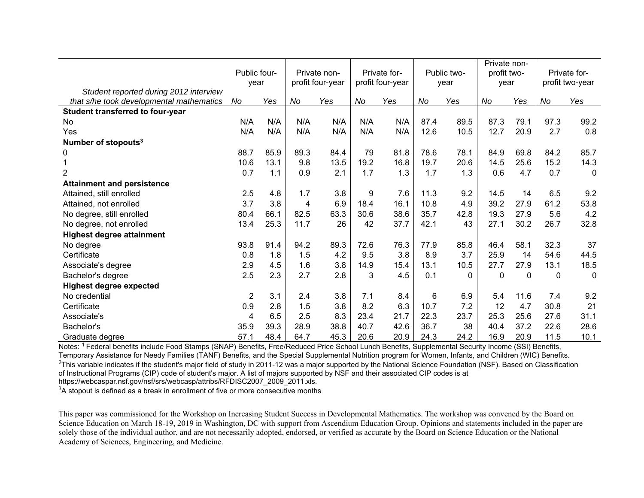|                                          | Public four-<br>year |      | Private non-<br>profit four-year |      | Private for-<br>profit four-year |      | Public two-<br>year |      | Private non-<br>profit two-<br>year |          |          | Private for-<br>profit two-year |
|------------------------------------------|----------------------|------|----------------------------------|------|----------------------------------|------|---------------------|------|-------------------------------------|----------|----------|---------------------------------|
| Student reported during 2012 interview   |                      |      |                                  |      |                                  |      |                     |      |                                     |          |          |                                 |
| that s/he took developmental mathematics | No                   | Yes  | No                               | Yes  | No                               | Yes  | No                  | Yes  | No                                  | Yes      | No       | Yes                             |
| Student transferred to four-year         |                      |      |                                  |      |                                  |      |                     |      |                                     |          |          |                                 |
| No.                                      | N/A                  | N/A  | N/A                              | N/A  | N/A                              | N/A  | 87.4                | 89.5 | 87.3                                | 79.1     | 97.3     | 99.2                            |
| Yes                                      | N/A                  | N/A  | N/A                              | N/A  | N/A                              | N/A  | 12.6                | 10.5 | 12.7                                | 20.9     | 2.7      | 0.8                             |
| Number of stopouts <sup>3</sup>          |                      |      |                                  |      |                                  |      |                     |      |                                     |          |          |                                 |
| 0                                        | 88.7                 | 85.9 | 89.3                             | 84.4 | 79                               | 81.8 | 78.6                | 78.1 | 84.9                                | 69.8     | 84.2     | 85.7                            |
|                                          | 10.6                 | 13.1 | 9.8                              | 13.5 | 19.2                             | 16.8 | 19.7                | 20.6 | 14.5                                | 25.6     | 15.2     | 14.3                            |
| $\overline{2}$                           | 0.7                  | 1.1  | 0.9                              | 2.1  | 1.7                              | 1.3  | 1.7                 | 1.3  | 0.6                                 | 4.7      | 0.7      | $\mathbf 0$                     |
| <b>Attainment and persistence</b>        |                      |      |                                  |      |                                  |      |                     |      |                                     |          |          |                                 |
| Attained, still enrolled                 | 2.5                  | 4.8  | 1.7                              | 3.8  | 9                                | 7.6  | 11.3                | 9.2  | 14.5                                | 14       | 6.5      | 9.2                             |
| Attained, not enrolled                   | 3.7                  | 3.8  | 4                                | 6.9  | 18.4                             | 16.1 | 10.8                | 4.9  | 39.2                                | 27.9     | 61.2     | 53.8                            |
| No degree, still enrolled                | 80.4                 | 66.1 | 82.5                             | 63.3 | 30.6                             | 38.6 | 35.7                | 42.8 | 19.3                                | 27.9     | 5.6      | 4.2                             |
| No degree, not enrolled                  | 13.4                 | 25.3 | 11.7                             | 26   | 42                               | 37.7 | 42.1                | 43   | 27.1                                | 30.2     | 26.7     | 32.8                            |
| <b>Highest degree attainment</b>         |                      |      |                                  |      |                                  |      |                     |      |                                     |          |          |                                 |
| No degree                                | 93.8                 | 91.4 | 94.2                             | 89.3 | 72.6                             | 76.3 | 77.9                | 85.8 | 46.4                                | 58.1     | 32.3     | 37                              |
| Certificate                              | 0.8                  | 1.8  | 1.5                              | 4.2  | 9.5                              | 3.8  | 8.9                 | 3.7  | 25.9                                | 14       | 54.6     | 44.5                            |
| Associate's degree                       | 2.9                  | 4.5  | 1.6                              | 3.8  | 14.9                             | 15.4 | 13.1                | 10.5 | 27.7                                | 27.9     | 13.1     | 18.5                            |
| Bachelor's degree                        | 2.5                  | 2.3  | 2.7                              | 2.8  | 3                                | 4.5  | 0.1                 | 0    | 0                                   | $\Omega$ | $\Omega$ | $\mathbf{0}$                    |
| <b>Highest degree expected</b>           |                      |      |                                  |      |                                  |      |                     |      |                                     |          |          |                                 |
| No credential                            | $\overline{2}$       | 3.1  | 2.4                              | 3.8  | 7.1                              | 8.4  | 6                   | 6.9  | 5.4                                 | 11.6     | 7.4      | 9.2                             |
| Certificate                              | 0.9                  | 2.8  | 1.5                              | 3.8  | 8.2                              | 6.3  | 10.7                | 7.2  | 12                                  | 4.7      | 30.8     | 21                              |
| Associate's                              | 4                    | 6.5  | 2.5                              | 8.3  | 23.4                             | 21.7 | 22.3                | 23.7 | 25.3                                | 25.6     | 27.6     | 31.1                            |
| Bachelor's                               | 35.9                 | 39.3 | 28.9                             | 38.8 | 40.7                             | 42.6 | 36.7                | 38   | 40.4                                | 37.2     | 22.6     | 28.6                            |
| Graduate degree                          | 57.1                 | 48.4 | 64.7                             | 45.3 | 20.6                             | 20.9 | 24.3                | 24.2 | 16.9                                | 20.9     | 11.5     | 10.1                            |

Notes: 1 Federal benefits include Food Stamps (SNAP) Benefits, Free/Reduced Price School Lunch Benefits, Supplemental Security Income (SSI) Benefits, Temporary Assistance for Needy Families (TANF) Benefits, and the Special Supplemental Nutrition program for Women, Infants, and Children (WIC) Benefits.  $2$ This variable indicates if the student's major field of study in 2011-12 was a major supported by the National Science Foundation (NSF). Based on Classification of Instructional Programs (CIP) code of student's major. A list of majors supported by NSF and their associated CIP codes is at https://webcaspar.nsf.gov/nsf/srs/webcasp/attribs/RFDISC2007\_2009\_2011.xls.

 $3A$  stopout is defined as a break in enrollment of five or more consecutive months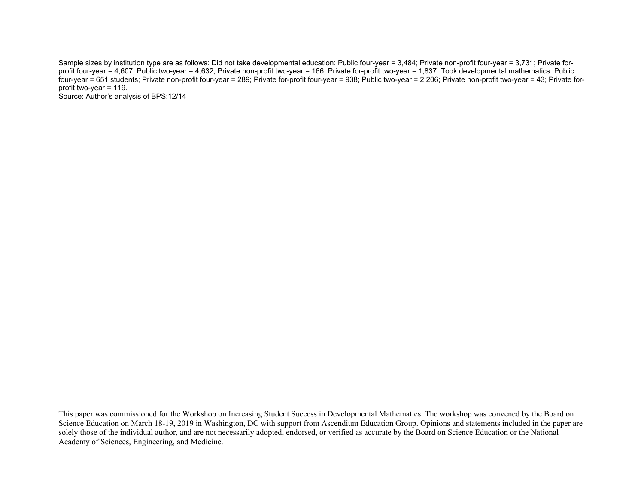Sample sizes by institution type are as follows: Did not take developmental education: Public four-year = 3,484; Private non-profit four-year = 3,731; Private forprofit four-year = 4,607; Public two-year = 4,632; Private non-profit two-year = 166; Private for-profit two-year = 1,837. Took developmental mathematics: Public four-year = 651 students; Private non-profit four-year = 289; Private for-profit four-year = 938; Public two-year = 2,206; Private non-profit two-year = 43; Private forprofit two-year = 119. Source: Author's analysis of BPS:12/14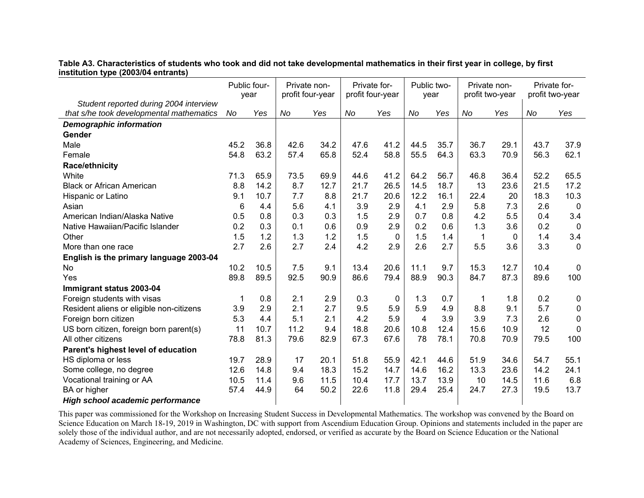**Table A3. Characteristics of students who took and did not take developmental mathematics in their first year in college, by first institution type (2003/04 entrants)** 

|                                          | Public four-<br>year |      | Private non-<br>profit four-year |      | Private for-<br>profit four-year |              | Public two-<br>year |      | Private non-<br>profit two-year |          | Private for- | profit two-year |
|------------------------------------------|----------------------|------|----------------------------------|------|----------------------------------|--------------|---------------------|------|---------------------------------|----------|--------------|-----------------|
| Student reported during 2004 interview   |                      |      |                                  |      |                                  |              |                     |      |                                 |          |              |                 |
| that s/he took developmental mathematics | No                   | Yes  | No                               | Yes  | No                               | Yes          | No                  | Yes  | No                              | Yes      | No           | Yes             |
| <b>Demographic information</b>           |                      |      |                                  |      |                                  |              |                     |      |                                 |          |              |                 |
| Gender                                   |                      |      |                                  |      |                                  |              |                     |      |                                 |          |              |                 |
| Male                                     | 45.2                 | 36.8 | 42.6                             | 34.2 | 47.6                             | 41.2         | 44.5                | 35.7 | 36.7                            | 29.1     | 43.7         | 37.9            |
| Female                                   | 54.8                 | 63.2 | 57.4                             | 65.8 | 52.4                             | 58.8         | 55.5                | 64.3 | 63.3                            | 70.9     | 56.3         | 62.1            |
| <b>Race/ethnicity</b>                    |                      |      |                                  |      |                                  |              |                     |      |                                 |          |              |                 |
| White                                    | 71.3                 | 65.9 | 73.5                             | 69.9 | 44.6                             | 41.2         | 64.2                | 56.7 | 46.8                            | 36.4     | 52.2         | 65.5            |
| <b>Black or African American</b>         | 8.8                  | 14.2 | 8.7                              | 12.7 | 21.7                             | 26.5         | 14.5                | 18.7 | 13                              | 23.6     | 21.5         | 17.2            |
| Hispanic or Latino                       | 9.1                  | 10.7 | 7.7                              | 8.8  | 21.7                             | 20.6         | 12.2                | 16.1 | 22.4                            | 20       | 18.3         | 10.3            |
| Asian                                    | 6                    | 4.4  | 5.6                              | 4.1  | 3.9                              | 2.9          | 4.1                 | 2.9  | 5.8                             | 7.3      | 2.6          | $\overline{0}$  |
| American Indian/Alaska Native            | 0.5                  | 0.8  | 0.3                              | 0.3  | 1.5                              | 2.9          | 0.7                 | 0.8  | 4.2                             | 5.5      | 0.4          | 3.4             |
| Native Hawaiian/Pacific Islander         | 0.2                  | 0.3  | 0.1                              | 0.6  | 0.9                              | 2.9          | 0.2                 | 0.6  | 1.3                             | 3.6      | 0.2          | $\mathbf 0$     |
| Other                                    | 1.5                  | 1.2  | 1.3                              | 1.2  | 1.5                              | $\mathbf{0}$ | 1.5                 | 1.4  | 1                               | $\Omega$ | 1.4          | 3.4             |
| More than one race                       | 2.7                  | 2.6  | 2.7                              | 2.4  | 4.2                              | 2.9          | 2.6                 | 2.7  | 5.5                             | 3.6      | 3.3          | $\mathbf 0$     |
| English is the primary language 2003-04  |                      |      |                                  |      |                                  |              |                     |      |                                 |          |              |                 |
| <b>No</b>                                | 10.2                 | 10.5 | 7.5                              | 9.1  | 13.4                             | 20.6         | 11.1                | 9.7  | 15.3                            | 12.7     | 10.4         | $\mathbf 0$     |
| Yes                                      | 89.8                 | 89.5 | 92.5                             | 90.9 | 86.6                             | 79.4         | 88.9                | 90.3 | 84.7                            | 87.3     | 89.6         | 100             |
| Immigrant status 2003-04                 |                      |      |                                  |      |                                  |              |                     |      |                                 |          |              |                 |
| Foreign students with visas              | 1                    | 0.8  | 2.1                              | 2.9  | 0.3                              | 0            | 1.3                 | 0.7  | 1                               | 1.8      | 0.2          | $\mathbf 0$     |
| Resident aliens or eligible non-citizens | 3.9                  | 2.9  | 2.1                              | 2.7  | 9.5                              | 5.9          | 5.9                 | 4.9  | 8.8                             | 9.1      | 5.7          | $\mathbf 0$     |
| Foreign born citizen                     | 5.3                  | 4.4  | 5.1                              | 2.1  | 4.2                              | 5.9          | $\overline{4}$      | 3.9  | 3.9                             | 7.3      | 2.6          | $\mathbf 0$     |
| US born citizen, foreign born parent(s)  | 11                   | 10.7 | 11.2                             | 9.4  | 18.8                             | 20.6         | 10.8                | 12.4 | 15.6                            | 10.9     | 12           | $\mathbf 0$     |
| All other citizens                       | 78.8                 | 81.3 | 79.6                             | 82.9 | 67.3                             | 67.6         | 78                  | 78.1 | 70.8                            | 70.9     | 79.5         | 100             |
| Parent's highest level of education      |                      |      |                                  |      |                                  |              |                     |      |                                 |          |              |                 |
| HS diploma or less                       | 19.7                 | 28.9 | 17                               | 20.1 | 51.8                             | 55.9         | 42.1                | 44.6 | 51.9                            | 34.6     | 54.7         | 55.1            |
| Some college, no degree                  | 12.6                 | 14.8 | 9.4                              | 18.3 | 15.2                             | 14.7         | 14.6                | 16.2 | 13.3                            | 23.6     | 14.2         | 24.1            |
| Vocational training or AA                | 10.5                 | 11.4 | 9.6                              | 11.5 | 10.4                             | 17.7         | 13.7                | 13.9 | 10                              | 14.5     | 11.6         | 6.8             |
| BA or higher                             | 57.4                 | 44.9 | 64                               | 50.2 | 22.6                             | 11.8         | 29.4                | 25.4 | 24.7                            | 27.3     | 19.5         | 13.7            |
| <b>High school academic performance</b>  |                      |      |                                  |      |                                  |              |                     |      |                                 |          |              |                 |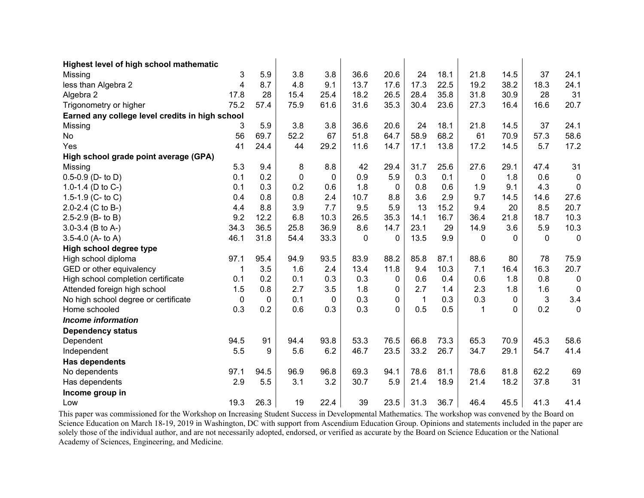| Highest level of high school mathematic         |      |             |             |      |          |      |              |      |      |      |              |             |
|-------------------------------------------------|------|-------------|-------------|------|----------|------|--------------|------|------|------|--------------|-------------|
| Missing                                         | 3    | 5.9         | 3.8         | 3.8  | 36.6     | 20.6 | 24           | 18.1 | 21.8 | 14.5 | 37           | 24.1        |
| less than Algebra 2                             | 4    | 8.7         | 4.8         | 9.1  | 13.7     | 17.6 | 17.3         | 22.5 | 19.2 | 38.2 | 18.3         | 24.1        |
| Algebra 2                                       | 17.8 | 28          | 15.4        | 25.4 | 18.2     | 26.5 | 28.4         | 35.8 | 31.8 | 30.9 | 28           | 31          |
| Trigonometry or higher                          | 75.2 | 57.4        | 75.9        | 61.6 | 31.6     | 35.3 | 30.4         | 23.6 | 27.3 | 16.4 | 16.6         | 20.7        |
| Earned any college level credits in high school |      |             |             |      |          |      |              |      |      |      |              |             |
| Missing                                         | 3    | 5.9         | 3.8         | 3.8  | 36.6     | 20.6 | 24           | 18.1 | 21.8 | 14.5 | 37           | 24.1        |
| No                                              | 56   | 69.7        | 52.2        | 67   | 51.8     | 64.7 | 58.9         | 68.2 | 61   | 70.9 | 57.3         | 58.6        |
| Yes                                             | 41   | 24.4        | 44          | 29.2 | 11.6     | 14.7 | 17.1         | 13.8 | 17.2 | 14.5 | 5.7          | 17.2        |
| High school grade point average (GPA)           |      |             |             |      |          |      |              |      |      |      |              |             |
| Missing                                         | 5.3  | 9.4         | 8           | 8.8  | 42       | 29.4 | 31.7         | 25.6 | 27.6 | 29.1 | 47.4         | 31          |
| $0.5 - 0.9$ (D- to D)                           | 0.1  | 0.2         | $\mathbf 0$ | 0    | 0.9      | 5.9  | 0.3          | 0.1  | 0    | 1.8  | 0.6          | $\mathbf 0$ |
| 1.0-1.4 (D to C-)                               | 0.1  | 0.3         | 0.2         | 0.6  | 1.8      | 0    | 0.8          | 0.6  | 1.9  | 9.1  | 4.3          | 0           |
| 1.5-1.9 (C- to C)                               | 0.4  | 0.8         | 0.8         | 2.4  | 10.7     | 8.8  | 3.6          | 2.9  | 9.7  | 14.5 | 14.6         | 27.6        |
| 2.0-2.4 (C to B-)                               | 4.4  | 8.8         | 3.9         | 7.7  | 9.5      | 5.9  | 13           | 15.2 | 9.4  | 20   | 8.5          | 20.7        |
| 2.5-2.9 (B- to B)                               | 9.2  | 12.2        | 6.8         | 10.3 | 26.5     | 35.3 | 14.1         | 16.7 | 36.4 | 21.8 | 18.7         | 10.3        |
| $3.0 - 3.4$ (B to A-)                           | 34.3 | 36.5        | 25.8        | 36.9 | 8.6      | 14.7 | 23.1         | 29   | 14.9 | 3.6  | 5.9          | 10.3        |
| 3.5-4.0 (A- to A)                               | 46.1 | 31.8        | 54.4        | 33.3 | $\Omega$ | 0    | 13.5         | 9.9  | 0    | 0    | $\mathbf{0}$ | 0           |
| High school degree type                         |      |             |             |      |          |      |              |      |      |      |              |             |
| High school diploma                             | 97.1 | 95.4        | 94.9        | 93.5 | 83.9     | 88.2 | 85.8         | 87.1 | 88.6 | 80   | 78           | 75.9        |
| GED or other equivalency                        |      | 3.5         | 1.6         | 2.4  | 13.4     | 11.8 | 9.4          | 10.3 | 7.1  | 16.4 | 16.3         | 20.7        |
| High school completion certificate              | 0.1  | 0.2         | 0.1         | 0.3  | 0.3      | 0    | 0.6          | 0.4  | 0.6  | 1.8  | 0.8          | $\mathbf 0$ |
| Attended foreign high school                    | 1.5  | 0.8         | 2.7         | 3.5  | 1.8      | 0    | 2.7          | 1.4  | 2.3  | 1.8  | 1.6          | $\mathbf 0$ |
| No high school degree or certificate            | 0    | $\mathbf 0$ | 0.1         | 0    | 0.3      | 0    | $\mathbf{1}$ | 0.3  | 0.3  | 0    | 3            | 3.4         |
| Home schooled                                   | 0.3  | 0.2         | 0.6         | 0.3  | 0.3      | 0    | 0.5          | 0.5  | 1    | 0    | 0.2          | $\mathbf 0$ |
| <b>Income information</b>                       |      |             |             |      |          |      |              |      |      |      |              |             |
| <b>Dependency status</b>                        |      |             |             |      |          |      |              |      |      |      |              |             |
| Dependent                                       | 94.5 | 91          | 94.4        | 93.8 | 53.3     | 76.5 | 66.8         | 73.3 | 65.3 | 70.9 | 45.3         | 58.6        |
| Independent                                     | 5.5  | 9           | 5.6         | 6.2  | 46.7     | 23.5 | 33.2         | 26.7 | 34.7 | 29.1 | 54.7         | 41.4        |
| <b>Has dependents</b>                           |      |             |             |      |          |      |              |      |      |      |              |             |
| No dependents                                   | 97.1 | 94.5        | 96.9        | 96.8 | 69.3     | 94.1 | 78.6         | 81.1 | 78.6 | 81.8 | 62.2         | 69          |
| Has dependents                                  | 2.9  | 5.5         | 3.1         | 3.2  | 30.7     | 5.9  | 21.4         | 18.9 | 21.4 | 18.2 | 37.8         | 31          |
| Income group in                                 |      |             |             |      |          |      |              |      |      |      |              |             |
| Low                                             | 19.3 | 26.3        | 19          | 22.4 | 39       | 23.5 | 31.3         | 36.7 | 46.4 | 45.5 | 41.3         | 41.4        |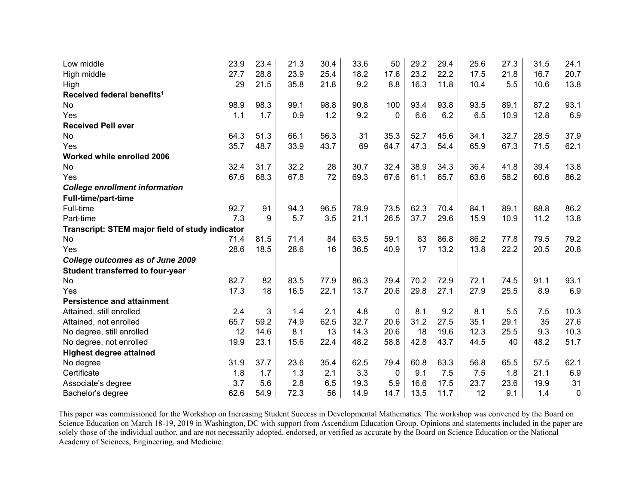| Low middle                                      | 23.9 | 23.4 | 21.3 | 30.4 | 33.6 | 50       | 29.2 | 29.4 | 25.6 | 27.3 | 31.5 | 24.1        |
|-------------------------------------------------|------|------|------|------|------|----------|------|------|------|------|------|-------------|
| High middle                                     | 27.7 | 28.8 | 23.9 | 25.4 | 18.2 | 17.6     | 23.2 | 22.2 | 17.5 | 21.8 | 16.7 | 20.7        |
| High                                            | 29   | 21.5 | 35.8 | 21.8 | 9.2  | 8.8      | 16.3 | 11.8 | 10.4 | 5.5  | 10.6 | 13.8        |
| Received federal benefits <sup>1</sup>          |      |      |      |      |      |          |      |      |      |      |      |             |
| No                                              | 98.9 | 98.3 | 99.1 | 98.8 | 90.8 | 100      | 93.4 | 93.8 | 93.5 | 89.1 | 87.2 | 93.1        |
| Yes                                             | 1.1  | 1.7  | 0.9  | 1.2  | 9.2  | $\Omega$ | 6.6  | 6.2  | 6.5  | 10.9 | 12.8 | 6.9         |
| <b>Received Pell ever</b>                       |      |      |      |      |      |          |      |      |      |      |      |             |
| No                                              | 64.3 | 51.3 | 66.1 | 56.3 | 31   | 35.3     | 52.7 | 45.6 | 34.1 | 32.7 | 28.5 | 37.9        |
| Yes                                             | 35.7 | 48.7 | 33.9 | 43.7 | 69   | 64.7     | 47.3 | 54.4 | 65.9 | 67.3 | 71.5 | 62.1        |
| Worked while enrolled 2006                      |      |      |      |      |      |          |      |      |      |      |      |             |
| No                                              | 32.4 | 31.7 | 32.2 | 28   | 30.7 | 32.4     | 38.9 | 34.3 | 36.4 | 41.8 | 39.4 | 13.8        |
| Yes                                             | 67.6 | 68.3 | 67.8 | 72   | 69.3 | 67.6     | 61.1 | 65.7 | 63.6 | 58.2 | 60.6 | 86.2        |
| <b>College enrollment information</b>           |      |      |      |      |      |          |      |      |      |      |      |             |
| Full-time/part-time                             |      |      |      |      |      |          |      |      |      |      |      |             |
| Full-time                                       | 92.7 | 91   | 94.3 | 96.5 | 78.9 | 73.5     | 62.3 | 70.4 | 84.1 | 89.1 | 88.8 | 86.2        |
| Part-time                                       | 7.3  | 9    | 5.7  | 3.5  | 21.1 | 26.5     | 37.7 | 29.6 | 15.9 | 10.9 | 11.2 | 13.8        |
| Transcript: STEM major field of study indicator |      |      |      |      |      |          |      |      |      |      |      |             |
| No                                              | 71.4 | 81.5 | 71.4 | 84   | 63.5 | 59.1     | 83   | 86.8 | 86.2 | 77.8 | 79.5 | 79.2        |
| Yes                                             | 28.6 | 18.5 | 28.6 | 16   | 36.5 | 40.9     | 17   | 13.2 | 13.8 | 22.2 | 20.5 | 20.8        |
| College outcomes as of June 2009                |      |      |      |      |      |          |      |      |      |      |      |             |
| Student transferred to four-year                |      |      |      |      |      |          |      |      |      |      |      |             |
| No                                              | 82.7 | 82   | 83.5 | 77.9 | 86.3 | 79.4     | 70.2 | 72.9 | 72.1 | 74.5 | 91.1 | 93.1        |
| Yes                                             | 17.3 | 18   | 16.5 | 22.1 | 13.7 | 20.6     | 29.8 | 27.1 | 27.9 | 25.5 | 8.9  | 6.9         |
| <b>Persistence and attainment</b>               |      |      |      |      |      |          |      |      |      |      |      |             |
| Attained, still enrolled                        | 2.4  | 3    | 1.4  | 2.1  | 4.8  | 0        | 8.1  | 9.2  | 8.1  | 5.5  | 7.5  | 10.3        |
| Attained, not enrolled                          | 65.7 | 59.2 | 74.9 | 62.5 | 32.7 | 20.6     | 31.2 | 27.5 | 35.1 | 29.1 | 35   | 27.6        |
| No degree, still enrolled                       | 12   | 14.6 | 8.1  | 13   | 14.3 | 20.6     | 18   | 19.6 | 12.3 | 25.5 | 9.3  | 10.3        |
| No degree, not enrolled                         | 19.9 | 23.1 | 15.6 | 22.4 | 48.2 | 58.8     | 42.8 | 43.7 | 44.5 | 40   | 48.2 | 51.7        |
| <b>Highest degree attained</b>                  |      |      |      |      |      |          |      |      |      |      |      |             |
| No degree                                       | 31.9 | 37.7 | 23.6 | 35.4 | 62.5 | 79.4     | 60.8 | 63.3 | 56.8 | 65.5 | 57.5 | 62.1        |
| Certificate                                     | 1.8  | 1.7  | 1.3  | 2.1  | 3.3  | 0        | 9.1  | 7.5  | 7.5  | 1.8  | 21.1 | 6.9         |
| Associate's degree                              | 3.7  | 5.6  | 2.8  | 6.5  | 19.3 | 5.9      | 16.6 | 17.5 | 23.7 | 23.6 | 19.9 | 31          |
| Bachelor's degree                               | 62.6 | 54.9 | 72.3 | 56   | 14.9 | 14.7     | 13.5 | 11.7 | 12   | 9.1  | 1.4  | $\mathbf 0$ |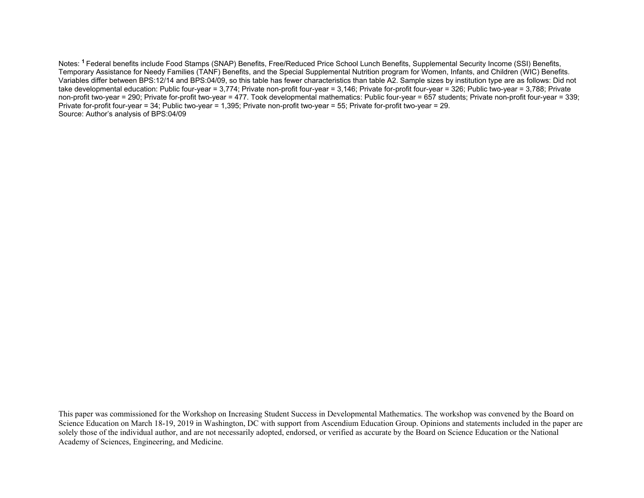Notes: **<sup>1</sup>**Federal benefits include Food Stamps (SNAP) Benefits, Free/Reduced Price School Lunch Benefits, Supplemental Security Income (SSI) Benefits, Temporary Assistance for Needy Families (TANF) Benefits, and the Special Supplemental Nutrition program for Women, Infants, and Children (WIC) Benefits. Variables differ between BPS:12/14 and BPS:04/09, so this table has fewer characteristics than table A2. Sample sizes by institution type are as follows: Did not take developmental education: Public four-year = 3,774; Private non-profit four-year = 3,146; Private for-profit four-year = 326; Public two-year = 3,788; Private non-profit two-year = 290; Private for-profit two-year = 477. Took developmental mathematics: Public four-year = 657 students; Private non-profit four-year = 339; Private for-profit four-year = 34; Public two-year = 1,395; Private non-profit two-year = 55; Private for-profit two-year = 29. Source: Author's analysis of BPS:04/09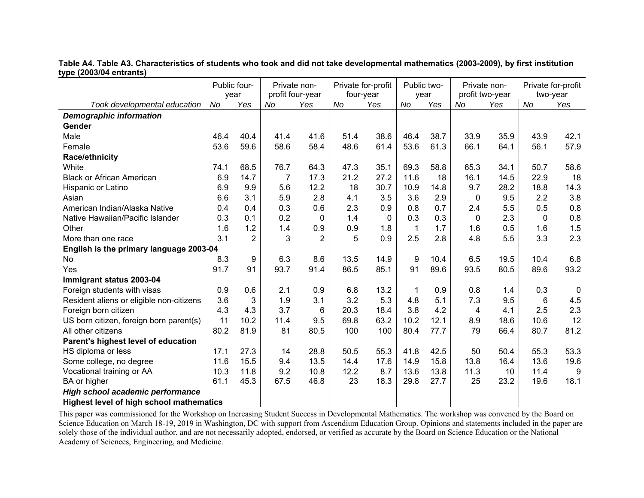**Table A4. Table A3. Characteristics of students who took and did not take developmental mathematics (2003-2009), by first institution type (2003/04 entrants)** 

|                                                 | Public four-<br>year |                | Private non-<br>profit four-year |              | Private for-profit<br>four-year | Public two-<br>year |             | Private non-<br>profit two-year |          | Private for-profit<br>two-year |      |                |
|-------------------------------------------------|----------------------|----------------|----------------------------------|--------------|---------------------------------|---------------------|-------------|---------------------------------|----------|--------------------------------|------|----------------|
| Took developmental education                    | No                   | Yes            | No                               | Yes          | No                              | Yes                 | No          | Yes                             | No       | Yes                            | No   | Yes            |
| <b>Demographic information</b>                  |                      |                |                                  |              |                                 |                     |             |                                 |          |                                |      |                |
| Gender                                          |                      |                |                                  |              |                                 |                     |             |                                 |          |                                |      |                |
| Male                                            | 46.4                 | 40.4           | 41.4                             | 41.6         | 51.4                            | 38.6                | 46.4        | 38.7                            | 33.9     | 35.9                           | 43.9 | 42.1           |
| Female                                          | 53.6                 | 59.6           | 58.6                             | 58.4         | 48.6                            | 61.4                | 53.6        | 61.3                            | 66.1     | 64.1                           | 56.1 | 57.9           |
| Race/ethnicity                                  |                      |                |                                  |              |                                 |                     |             |                                 |          |                                |      |                |
| White                                           | 74.1                 | 68.5           | 76.7                             | 64.3         | 47.3                            | 35.1                | 69.3        | 58.8                            | 65.3     | 34.1                           | 50.7 | 58.6           |
| <b>Black or African American</b>                | 6.9                  | 14.7           | 7                                | 17.3         | 21.2                            | 27.2                | 11.6        | 18                              | 16.1     | 14.5                           | 22.9 | 18             |
| Hispanic or Latino                              | 6.9                  | 9.9            | 5.6                              | 12.2         | 18                              | 30.7                | 10.9        | 14.8                            | 9.7      | 28.2                           | 18.8 | 14.3           |
| Asian                                           | 6.6                  | 3.1            | 5.9                              | 2.8          | 4.1                             | 3.5                 | 3.6         | 2.9                             | $\Omega$ | 9.5                            | 2.2  | 3.8            |
| American Indian/Alaska Native                   | 0.4                  | 0.4            | 0.3                              | 0.6          | 2.3                             | 0.9                 | 0.8         | 0.7                             | 2.4      | 5.5                            | 0.5  | 0.8            |
| Native Hawaiian/Pacific Islander                | 0.3                  | 0.1            | 0.2                              | $\mathbf{0}$ | 1.4                             | $\Omega$            | 0.3         | 0.3                             | 0        | 2.3                            | 0    | 0.8            |
| Other                                           | 1.6                  | 1.2            | 1.4                              | 0.9          | 0.9                             | 1.8                 | $\mathbf 1$ | 1.7                             | 1.6      | 0.5                            | 1.6  | 1.5            |
| More than one race                              | 3.1                  | $\overline{2}$ | 3                                | 2            | 5                               | 0.9                 | 2.5         | 2.8                             | 4.8      | 5.5                            | 3.3  | 2.3            |
| English is the primary language 2003-04         |                      |                |                                  |              |                                 |                     |             |                                 |          |                                |      |                |
| <b>No</b>                                       | 8.3                  | 9              | 6.3                              | 8.6          | 13.5                            | 14.9                | 9           | 10.4                            | 6.5      | 19.5                           | 10.4 | 6.8            |
| Yes                                             | 91.7                 | 91             | 93.7                             | 91.4         | 86.5                            | 85.1                | 91          | 89.6                            | 93.5     | 80.5                           | 89.6 | 93.2           |
| Immigrant status 2003-04                        |                      |                |                                  |              |                                 |                     |             |                                 |          |                                |      |                |
| Foreign students with visas                     | 0.9                  | 0.6            | 2.1                              | 0.9          | 6.8                             | 13.2                | 1           | 0.9                             | 0.8      | 1.4                            | 0.3  | $\overline{0}$ |
| Resident aliens or eligible non-citizens        | 3.6                  | 3              | 1.9                              | 3.1          | 3.2                             | 5.3                 | 4.8         | 5.1                             | 7.3      | 9.5                            | 6    | 4.5            |
| Foreign born citizen                            | 4.3                  | 4.3            | 3.7                              | 6            | 20.3                            | 18.4                | 3.8         | 4.2                             | 4        | 4.1                            | 2.5  | 2.3            |
| US born citizen, foreign born parent(s)         | 11                   | 10.2           | 11.4                             | 9.5          | 69.8                            | 63.2                | 10.2        | 12.1                            | 8.9      | 18.6                           | 10.6 | 12             |
| All other citizens                              | 80.2                 | 81.9           | 81                               | 80.5         | 100                             | 100                 | 80.4        | 77.7                            | 79       | 66.4                           | 80.7 | 81.2           |
| Parent's highest level of education             |                      |                |                                  |              |                                 |                     |             |                                 |          |                                |      |                |
| HS diploma or less                              | 17.1                 | 27.3           | 14                               | 28.8         | 50.5                            | 55.3                | 41.8        | 42.5                            | 50       | 50.4                           | 55.3 | 53.3           |
| Some college, no degree                         | 11.6                 | 15.5           | 9.4                              | 13.5         | 14.4                            | 17.6                | 14.9        | 15.8                            | 13.8     | 16.4                           | 13.6 | 19.6           |
| Vocational training or AA                       | 10.3                 | 11.8           | 9.2                              | 10.8         | 12.2                            | 8.7                 | 13.6        | 13.8                            | 11.3     | 10                             | 11.4 | 9              |
| BA or higher                                    | 61.1                 | 45.3           | 67.5                             | 46.8         | 23                              | 18.3                | 29.8        | 27.7                            | 25       | 23.2                           | 19.6 | 18.1           |
| High school academic performance                |                      |                |                                  |              |                                 |                     |             |                                 |          |                                |      |                |
| <b>Highest level of high school mathematics</b> |                      |                |                                  |              |                                 |                     |             |                                 |          |                                |      |                |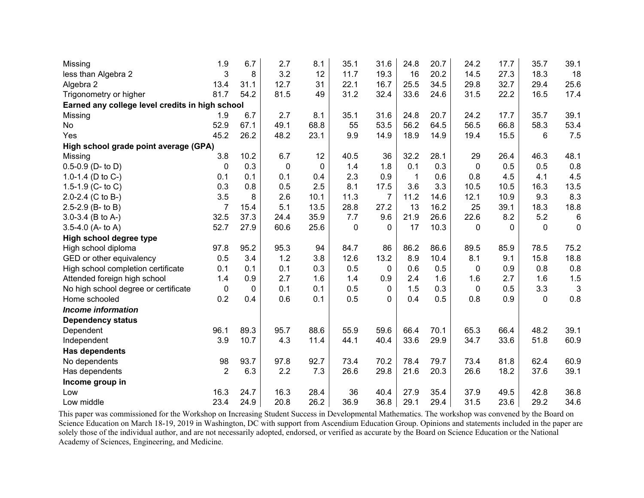| Missing                                         | 1.9            | 6.7          | 2.7         | 8.1      | 35.1        | 31.6           | 24.8         | 20.7 | 24.2         | 17.7         | 35.7         | 39.1            |
|-------------------------------------------------|----------------|--------------|-------------|----------|-------------|----------------|--------------|------|--------------|--------------|--------------|-----------------|
| less than Algebra 2                             | 3              | 8            | 3.2         | 12       | 11.7        | 19.3           | 16           | 20.2 | 14.5         | 27.3         | 18.3         | 18              |
| Algebra 2                                       | 13.4           | 31.1         | 12.7        | 31       | 22.1        | 16.7           | 25.5         | 34.5 | 29.8         | 32.7         | 29.4         | 25.6            |
| Trigonometry or higher                          | 81.7           | 54.2         | 81.5        | 49       | 31.2        | 32.4           | 33.6         | 24.6 | 31.5         | 22.2         | 16.5         | 17.4            |
| Earned any college level credits in high school |                |              |             |          |             |                |              |      |              |              |              |                 |
| Missing                                         | 1.9            | 6.7          | 2.7         | 8.1      | 35.1        | 31.6           | 24.8         | 20.7 | 24.2         | 17.7         | 35.7         | 39.1            |
| No                                              | 52.9           | 67.1         | 49.1        | 68.8     | 55          | 53.5           | 56.2         | 64.5 | 56.5         | 66.8         | 58.3         | 53.4            |
| Yes                                             | 45.2           | 26.2         | 48.2        | 23.1     | 9.9         | 14.9           | 18.9         | 14.9 | 19.4         | 15.5         | 6            | 7.5             |
| High school grade point average (GPA)           |                |              |             |          |             |                |              |      |              |              |              |                 |
| Missing                                         | 3.8            | 10.2         | 6.7         | 12       | 40.5        | 36             | 32.2         | 28.1 | 29           | 26.4         | 46.3         | 48.1            |
| $0.5 - 0.9$ (D- to D)                           | 0              | 0.3          | $\mathbf 0$ | $\Omega$ | 1.4         | 1.8            | 0.1          | 0.3  | $\mathbf 0$  | 0.5          | 0.5          | 0.8             |
| 1.0-1.4 (D to $C-$ )                            | 0.1            | 0.1          | 0.1         | 0.4      | 2.3         | 0.9            | $\mathbf{1}$ | 0.6  | 0.8          | 4.5          | 4.1          | 4.5             |
| 1.5-1.9 (C- to C)                               | 0.3            | 0.8          | 0.5         | 2.5      | 8.1         | 17.5           | 3.6          | 3.3  | 10.5         | 10.5         | 16.3         | 13.5            |
| 2.0-2.4 (C to B-)                               | 3.5            | 8            | 2.6         | 10.1     | 11.3        | $\overline{7}$ | 11.2         | 14.6 | 12.1         | 10.9         | 9.3          | 8.3             |
| 2.5-2.9 (B- to B)                               | $\overline{7}$ | 15.4         | 5.1         | 13.5     | 28.8        | 27.2           | 13           | 16.2 | 25           | 39.1         | 18.3         | 18.8            |
| 3.0-3.4 (B to A-)                               | 32.5           | 37.3         | 24.4        | 35.9     | 7.7         | 9.6            | 21.9         | 26.6 | 22.6         | 8.2          | 5.2          | $6\phantom{1}6$ |
| 3.5-4.0 (A- to A)                               | 52.7           | 27.9         | 60.6        | 25.6     | $\mathbf 0$ | 0              | 17           | 10.3 | $\Omega$     | $\mathbf{0}$ | $\mathbf{0}$ | $\mathbf 0$     |
| High school degree type                         |                |              |             |          |             |                |              |      |              |              |              |                 |
| High school diploma                             | 97.8           | 95.2         | 95.3        | 94       | 84.7        | 86             | 86.2         | 86.6 | 89.5         | 85.9         | 78.5         | 75.2            |
| GED or other equivalency                        | 0.5            | 3.4          | 1.2         | 3.8      | 12.6        | 13.2           | 8.9          | 10.4 | 8.1          | 9.1          | 15.8         | 18.8            |
| High school completion certificate              | 0.1            | 0.1          | 0.1         | 0.3      | 0.5         | 0              | 0.6          | 0.5  | 0            | 0.9          | 0.8          | 0.8             |
| Attended foreign high school                    | 1.4            | 0.9          | 2.7         | 1.6      | 1.4         | 0.9            | 2.4          | 1.6  | 1.6          | 2.7          | 1.6          | 1.5             |
| No high school degree or certificate            | 0              | $\mathbf{0}$ | 0.1         | 0.1      | 0.5         | 0              | 1.5          | 0.3  | $\mathbf{0}$ | 0.5          | 3.3          | 3               |
| Home schooled                                   | 0.2            | 0.4          | 0.6         | 0.1      | 0.5         | $\mathbf{0}$   | 0.4          | 0.5  | 0.8          | 0.9          | $\mathbf{0}$ | 0.8             |
| <b>Income information</b>                       |                |              |             |          |             |                |              |      |              |              |              |                 |
| <b>Dependency status</b>                        |                |              |             |          |             |                |              |      |              |              |              |                 |
| Dependent                                       | 96.1           | 89.3         | 95.7        | 88.6     | 55.9        | 59.6           | 66.4         | 70.1 | 65.3         | 66.4         | 48.2         | 39.1            |
| Independent                                     | 3.9            | 10.7         | 4.3         | 11.4     | 44.1        | 40.4           | 33.6         | 29.9 | 34.7         | 33.6         | 51.8         | 60.9            |
| <b>Has dependents</b>                           |                |              |             |          |             |                |              |      |              |              |              |                 |
| No dependents                                   | 98             | 93.7         | 97.8        | 92.7     | 73.4        | 70.2           | 78.4         | 79.7 | 73.4         | 81.8         | 62.4         | 60.9            |
| Has dependents                                  | $\overline{2}$ | 6.3          | 2.2         | 7.3      | 26.6        | 29.8           | 21.6         | 20.3 | 26.6         | 18.2         | 37.6         | 39.1            |
| Income group in                                 |                |              |             |          |             |                |              |      |              |              |              |                 |
| Low                                             | 16.3           | 24.7         | 16.3        | 28.4     | 36          | 40.4           | 27.9         | 35.4 | 37.9         | 49.5         | 42.8         | 36.8            |
| Low middle                                      | 23.4           | 24.9         | 20.8        | 26.2     | 36.9        | 36.8           | 29.1         | 29.4 | 31.5         | 23.6         | 29.2         | 34.6            |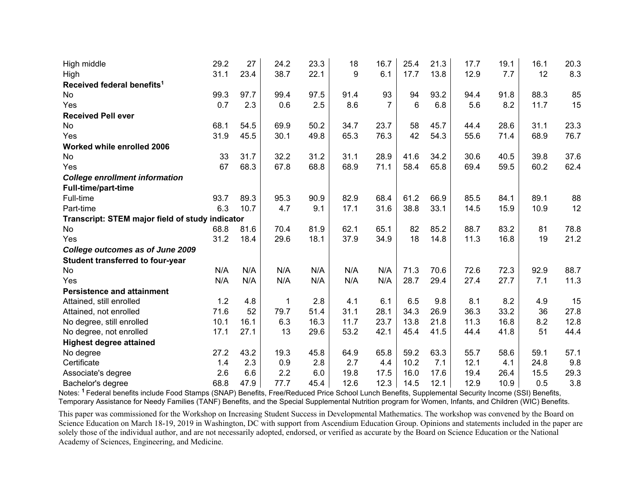| High middle                                     | 29.2 | 27   | 24.2 | 23.3 | 18   | 16.7           | 25.4            | 21.3 | 17.7 | 19.1 | 16.1 | 20.3 |
|-------------------------------------------------|------|------|------|------|------|----------------|-----------------|------|------|------|------|------|
| High                                            | 31.1 | 23.4 | 38.7 | 22.1 | 9    | 6.1            | 17.7            | 13.8 | 12.9 | 7.7  | 12   | 8.3  |
| Received federal benefits <sup>1</sup>          |      |      |      |      |      |                |                 |      |      |      |      |      |
| No                                              | 99.3 | 97.7 | 99.4 | 97.5 | 91.4 | 93             | 94              | 93.2 | 94.4 | 91.8 | 88.3 | 85   |
| Yes                                             | 0.7  | 2.3  | 0.6  | 2.5  | 8.6  | $\overline{7}$ | $6\phantom{1}6$ | 6.8  | 5.6  | 8.2  | 11.7 | 15   |
| <b>Received Pell ever</b>                       |      |      |      |      |      |                |                 |      |      |      |      |      |
| No                                              | 68.1 | 54.5 | 69.9 | 50.2 | 34.7 | 23.7           | 58              | 45.7 | 44.4 | 28.6 | 31.1 | 23.3 |
| Yes                                             | 31.9 | 45.5 | 30.1 | 49.8 | 65.3 | 76.3           | 42              | 54.3 | 55.6 | 71.4 | 68.9 | 76.7 |
| Worked while enrolled 2006                      |      |      |      |      |      |                |                 |      |      |      |      |      |
| No                                              | 33   | 31.7 | 32.2 | 31.2 | 31.1 | 28.9           | 41.6            | 34.2 | 30.6 | 40.5 | 39.8 | 37.6 |
| Yes                                             | 67   | 68.3 | 67.8 | 68.8 | 68.9 | 71.1           | 58.4            | 65.8 | 69.4 | 59.5 | 60.2 | 62.4 |
| <b>College enrollment information</b>           |      |      |      |      |      |                |                 |      |      |      |      |      |
| Full-time/part-time                             |      |      |      |      |      |                |                 |      |      |      |      |      |
| Full-time                                       | 93.7 | 89.3 | 95.3 | 90.9 | 82.9 | 68.4           | 61.2            | 66.9 | 85.5 | 84.1 | 89.1 | 88   |
| Part-time                                       | 6.3  | 10.7 | 4.7  | 9.1  | 17.1 | 31.6           | 38.8            | 33.1 | 14.5 | 15.9 | 10.9 | 12   |
| Transcript: STEM major field of study indicator |      |      |      |      |      |                |                 |      |      |      |      |      |
| <b>No</b>                                       | 68.8 | 81.6 | 70.4 | 81.9 | 62.1 | 65.1           | 82              | 85.2 | 88.7 | 83.2 | 81   | 78.8 |
| Yes                                             | 31.2 | 18.4 | 29.6 | 18.1 | 37.9 | 34.9           | 18              | 14.8 | 11.3 | 16.8 | 19   | 21.2 |
| College outcomes as of June 2009                |      |      |      |      |      |                |                 |      |      |      |      |      |
| Student transferred to four-year                |      |      |      |      |      |                |                 |      |      |      |      |      |
| No                                              | N/A  | N/A  | N/A  | N/A  | N/A  | N/A            | 71.3            | 70.6 | 72.6 | 72.3 | 92.9 | 88.7 |
| Yes                                             | N/A  | N/A  | N/A  | N/A  | N/A  | N/A            | 28.7            | 29.4 | 27.4 | 27.7 | 7.1  | 11.3 |
| <b>Persistence and attainment</b>               |      |      |      |      |      |                |                 |      |      |      |      |      |
| Attained, still enrolled                        | 1.2  | 4.8  | 1    | 2.8  | 4.1  | 6.1            | 6.5             | 9.8  | 8.1  | 8.2  | 4.9  | 15   |
| Attained, not enrolled                          | 71.6 | 52   | 79.7 | 51.4 | 31.1 | 28.1           | 34.3            | 26.9 | 36.3 | 33.2 | 36   | 27.8 |
| No degree, still enrolled                       | 10.1 | 16.1 | 6.3  | 16.3 | 11.7 | 23.7           | 13.8            | 21.8 | 11.3 | 16.8 | 8.2  | 12.8 |
| No degree, not enrolled                         | 17.1 | 27.1 | 13   | 29.6 | 53.2 | 42.1           | 45.4            | 41.5 | 44.4 | 41.8 | 51   | 44.4 |
| <b>Highest degree attained</b>                  |      |      |      |      |      |                |                 |      |      |      |      |      |
| No degree                                       | 27.2 | 43.2 | 19.3 | 45.8 | 64.9 | 65.8           | 59.2            | 63.3 | 55.7 | 58.6 | 59.1 | 57.1 |
| Certificate                                     | 1.4  | 2.3  | 0.9  | 2.8  | 2.7  | 4.4            | 10.2            | 7.1  | 12.1 | 4.1  | 24.8 | 9.8  |
| Associate's degree                              | 2.6  | 6.6  | 2.2  | 6.0  | 19.8 | 17.5           | 16.0            | 17.6 | 19.4 | 26.4 | 15.5 | 29.3 |
| Bachelor's degree                               | 68.8 | 47.9 | 77.7 | 45.4 | 12.6 | 12.3           | 14.5            | 12.1 | 12.9 | 10.9 | 0.5  | 3.8  |

Notes: **<sup>1</sup>**Federal benefits include Food Stamps (SNAP) Benefits, Free/Reduced Price School Lunch Benefits, Supplemental Security Income (SSI) Benefits, Temporary Assistance for Needy Families (TANF) Benefits, and the Special Supplemental Nutrition program for Women, Infants, and Children (WIC) Benefits.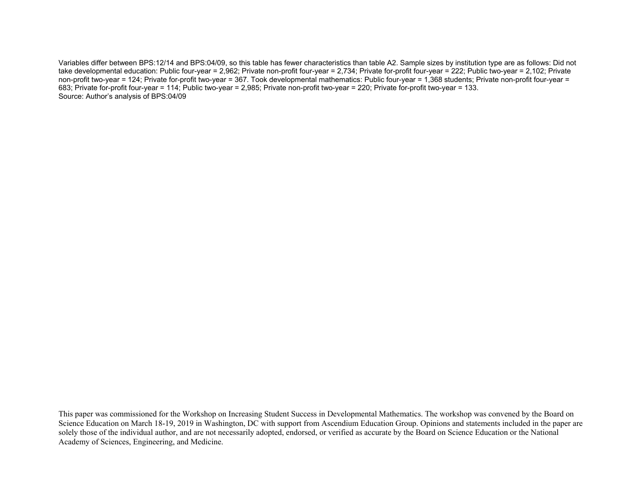Variables differ between BPS:12/14 and BPS:04/09, so this table has fewer characteristics than table A2. Sample sizes by institution type are as follows: Did not take developmental education: Public four-year = 2,962; Private non-profit four-year = 2,734; Private for-profit four-year = 222; Public two-year = 2,102; Private non-profit two-year = 124; Private for-profit two-year = 367. Took developmental mathematics: Public four-year = 1,368 students; Private non-profit four-year = 683; Private for-profit four-year = 114; Public two-year = 2,985; Private non-profit two-year = 220; Private for-profit two-year = 133. Source: Author's analysis of BPS:04/09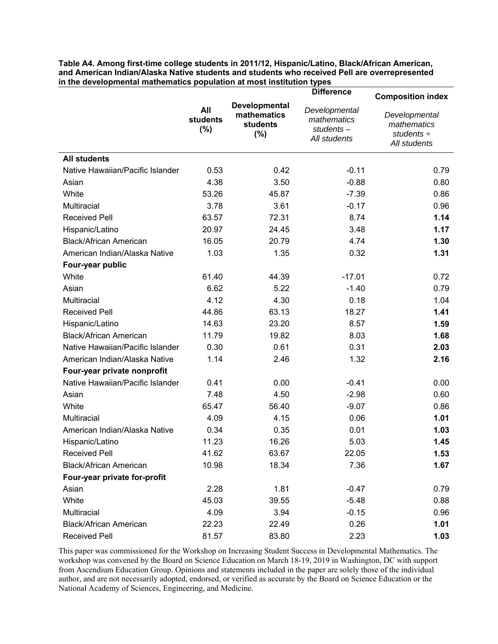**Table A4. Among first-time college students in 2011/12, Hispanic/Latino, Black/African American, and American Indian/Alaska Native students and students who received Pell are overrepresented in the developmental mathematics population at most institution types** 

|                                  |                        |                                                        | <b>Difference</b>                                            | <b>Composition index</b>                                   |  |  |
|----------------------------------|------------------------|--------------------------------------------------------|--------------------------------------------------------------|------------------------------------------------------------|--|--|
|                                  | All<br>students<br>(%) | Developmental<br>mathematics<br><b>students</b><br>(%) | Developmental<br>mathematics<br>$students -$<br>All students | Developmental<br>mathematics<br>students ÷<br>All students |  |  |
| <b>All students</b>              |                        |                                                        |                                                              |                                                            |  |  |
| Native Hawaiian/Pacific Islander | 0.53                   | 0.42                                                   | $-0.11$                                                      | 0.79                                                       |  |  |
| Asian                            | 4.38                   | 3.50                                                   | $-0.88$                                                      | 0.80                                                       |  |  |
| White                            | 53.26                  | 45.87                                                  | $-7.39$                                                      | 0.86                                                       |  |  |
| Multiracial                      | 3.78                   | 3.61                                                   | $-0.17$                                                      | 0.96                                                       |  |  |
| <b>Received Pell</b>             | 63.57                  | 72.31                                                  | 8.74                                                         | 1.14                                                       |  |  |
| Hispanic/Latino                  | 20.97                  | 24.45                                                  | 3.48                                                         | 1.17                                                       |  |  |
| <b>Black/African American</b>    | 16.05                  | 20.79                                                  | 4.74                                                         | 1.30                                                       |  |  |
| American Indian/Alaska Native    | 1.03                   | 1.35                                                   | 0.32                                                         | 1.31                                                       |  |  |
| Four-year public                 |                        |                                                        |                                                              |                                                            |  |  |
| White                            | 61.40                  | 44.39                                                  | $-17.01$                                                     | 0.72                                                       |  |  |
| Asian                            | 6.62                   | 5.22                                                   | $-1.40$                                                      | 0.79                                                       |  |  |
| Multiracial                      | 4.12                   | 4.30                                                   | 0.18                                                         | 1.04                                                       |  |  |
| <b>Received Pell</b>             | 44.86                  | 63.13                                                  | 18.27                                                        | 1.41                                                       |  |  |
| Hispanic/Latino                  | 14.63                  | 23.20                                                  | 8.57                                                         | 1.59                                                       |  |  |
| <b>Black/African American</b>    | 11.79                  | 19.82                                                  | 8.03                                                         | 1.68                                                       |  |  |
| Native Hawaiian/Pacific Islander | 0.30                   | 0.61                                                   | 0.31                                                         | 2.03                                                       |  |  |
| American Indian/Alaska Native    | 1.14                   | 2.46                                                   | 1.32                                                         | 2.16                                                       |  |  |
| Four-year private nonprofit      |                        |                                                        |                                                              |                                                            |  |  |
| Native Hawaiian/Pacific Islander | 0.41                   | 0.00                                                   | $-0.41$                                                      | 0.00                                                       |  |  |
| Asian                            | 7.48                   | 4.50                                                   | $-2.98$                                                      | 0.60                                                       |  |  |
| White                            | 65.47                  | 56.40                                                  | $-9.07$                                                      | 0.86                                                       |  |  |
| Multiracial                      | 4.09                   | 4.15                                                   | 0.06                                                         | 1.01                                                       |  |  |
| American Indian/Alaska Native    | 0.34                   | 0.35                                                   | 0.01                                                         | 1.03                                                       |  |  |
| Hispanic/Latino                  | 11.23                  | 16.26                                                  | 5.03                                                         | 1.45                                                       |  |  |
| <b>Received Pell</b>             | 41.62                  | 63.67                                                  | 22.05                                                        | 1.53                                                       |  |  |
| <b>Black/African American</b>    | 10.98                  | 18.34                                                  | 7.36                                                         | 1.67                                                       |  |  |
| Four-year private for-profit     |                        |                                                        |                                                              |                                                            |  |  |
| Asian                            | 2.28                   | 1.81                                                   | $-0.47$                                                      | 0.79                                                       |  |  |
| White                            | 45.03                  | 39.55                                                  | $-5.48$                                                      | 0.88                                                       |  |  |
| Multiracial                      | 4.09                   | 3.94                                                   | $-0.15$                                                      | 0.96                                                       |  |  |
| <b>Black/African American</b>    | 22.23                  | 22.49                                                  | 0.26                                                         | 1.01                                                       |  |  |
| <b>Received Pell</b>             | 81.57                  | 83.80                                                  | 2.23                                                         | 1.03                                                       |  |  |